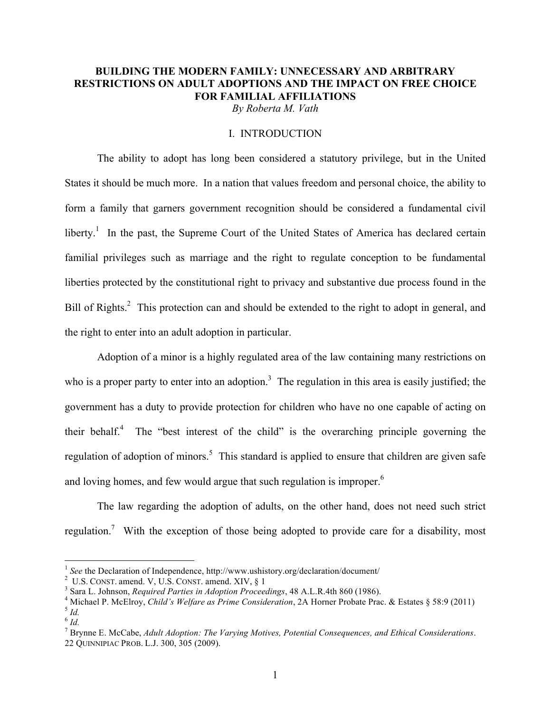# **BUILDING THE MODERN FAMILY: UNNECESSARY AND ARBITRARY RESTRICTIONS ON ADULT ADOPTIONS AND THE IMPACT ON FREE CHOICE FOR FAMILIAL AFFILIATIONS**

*By Roberta M. Vath*

## I. INTRODUCTION

The ability to adopt has long been considered a statutory privilege, but in the United States it should be much more. In a nation that values freedom and personal choice, the ability to form a family that garners government recognition should be considered a fundamental civil liberty.<sup>1</sup> In the past, the Supreme Court of the United States of America has declared certain familial privileges such as marriage and the right to regulate conception to be fundamental liberties protected by the constitutional right to privacy and substantive due process found in the Bill of Rights.<sup>2</sup> This protection can and should be extended to the right to adopt in general, and the right to enter into an adult adoption in particular.

Adoption of a minor is a highly regulated area of the law containing many restrictions on who is a proper party to enter into an adoption.<sup>3</sup> The regulation in this area is easily justified; the government has a duty to provide protection for children who have no one capable of acting on their behalf. $4$  The "best interest of the child" is the overarching principle governing the regulation of adoption of minors.<sup>5</sup> This standard is applied to ensure that children are given safe and loving homes, and few would argue that such regulation is improper.<sup>6</sup>

The law regarding the adoption of adults, on the other hand, does not need such strict regulation.<sup>7</sup> With the exception of those being adopted to provide care for a disability, most

<sup>&</sup>lt;sup>1</sup> See the Declaration of Independence, http://www.ushistory.org/declaration/document/

 $2$  U.S. CONST. amend. V, U.S. CONST. amend. XIV,  $\S$  1

Sara L. Johnson, *Required Parties in Adoption Proceedings*, 48 A.L.R.4th 860 (1986). <sup>4</sup>

<sup>&</sup>lt;sup>4</sup> Michael P. McElroy, *Child's Welfare as Prime Consideration*, 2A Horner Probate Prac. & Estates § 58:9 (2011) <sup>5</sup> *Id.* 

 $6\frac{1}{1}$ 

<sup>7</sup> Brynne E. McCabe, *Adult Adoption: The Varying Motives, Potential Consequences, and Ethical Considerations*. 22 QUINNIPIAC PROB. L.J. 300, 305 (2009).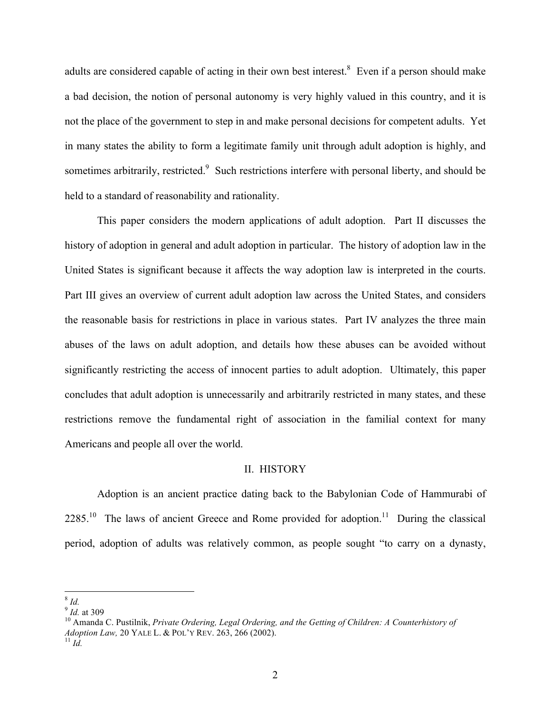adults are considered capable of acting in their own best interest.<sup>8</sup> Even if a person should make a bad decision, the notion of personal autonomy is very highly valued in this country, and it is not the place of the government to step in and make personal decisions for competent adults. Yet in many states the ability to form a legitimate family unit through adult adoption is highly, and sometimes arbitrarily, restricted.<sup>9</sup> Such restrictions interfere with personal liberty, and should be held to a standard of reasonability and rationality.

This paper considers the modern applications of adult adoption. Part II discusses the history of adoption in general and adult adoption in particular. The history of adoption law in the United States is significant because it affects the way adoption law is interpreted in the courts. Part III gives an overview of current adult adoption law across the United States, and considers the reasonable basis for restrictions in place in various states. Part IV analyzes the three main abuses of the laws on adult adoption, and details how these abuses can be avoided without significantly restricting the access of innocent parties to adult adoption. Ultimately, this paper concludes that adult adoption is unnecessarily and arbitrarily restricted in many states, and these restrictions remove the fundamental right of association in the familial context for many Americans and people all over the world.

### II. HISTORY

Adoption is an ancient practice dating back to the Babylonian Code of Hammurabi of  $2285<sup>10</sup>$  The laws of ancient Greece and Rome provided for adoption.<sup>11</sup> During the classical period, adoption of adults was relatively common, as people sought "to carry on a dynasty,

 <sup>8</sup> *Id.*

<sup>&</sup>lt;sup>14.</sup><br><sup>9</sup> *Id.* at 309<br><sup>10</sup> Amanda C. Pustilnik, *Private Ordering, Legal Ordering, and the Getting of Children: A Counterhistory of Adoption Law, 20 YALE L. & POL'Y REV. 263, 266 (2002).* <sup>11</sup> *Id.*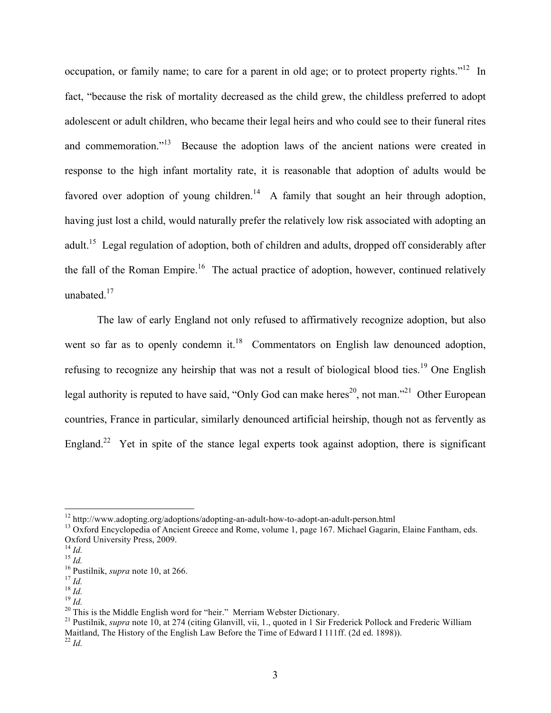occupation, or family name; to care for a parent in old age; or to protect property rights."<sup>12</sup> In fact, "because the risk of mortality decreased as the child grew, the childless preferred to adopt adolescent or adult children, who became their legal heirs and who could see to their funeral rites and commemoration."<sup>13</sup> Because the adoption laws of the ancient nations were created in response to the high infant mortality rate, it is reasonable that adoption of adults would be favored over adoption of young children.<sup>14</sup> A family that sought an heir through adoption, having just lost a child, would naturally prefer the relatively low risk associated with adopting an adult.15 Legal regulation of adoption, both of children and adults, dropped off considerably after the fall of the Roman Empire.<sup>16</sup> The actual practice of adoption, however, continued relatively unabated.<sup>17</sup>

The law of early England not only refused to affirmatively recognize adoption, but also went so far as to openly condemn it.<sup>18</sup> Commentators on English law denounced adoption, refusing to recognize any heirship that was not a result of biological blood ties.<sup>19</sup> One English legal authority is reputed to have said, "Only God can make heres<sup>20</sup>, not man."<sup>21</sup> Other European countries, France in particular, similarly denounced artificial heirship, though not as fervently as England.<sup>22</sup> Yet in spite of the stance legal experts took against adoption, there is significant

<sup>&</sup>lt;sup>12</sup> http://www.adopting.org/adoptions/adopting-an-adult-how-to-adopt-an-adult-person.html  $13$  Oxford Encyclopedia of Ancient Greece and Rome, volume 1, page 167. Michael Gagarin, Elaine Fantham, eds.

Oxford University Press, 2009.

<sup>&</sup>lt;sup>16</sup><br>
<sup>16</sup> Pustilnik, *supra* note 10, at 266.<br>
<sup>17</sup> *Id.*<br>
<sup>18</sup> *Id.*<br>
<sup>19</sup> *Id.*<br>
<sup>20</sup> This is the Middle English word for "heir." Merriam Webster Dictionary.<br>
<sup>20</sup> This is the Middle English word for "heir." Merriam We Maitland, The History of the English Law Before the Time of Edward I 111ff. (2d ed. 1898)).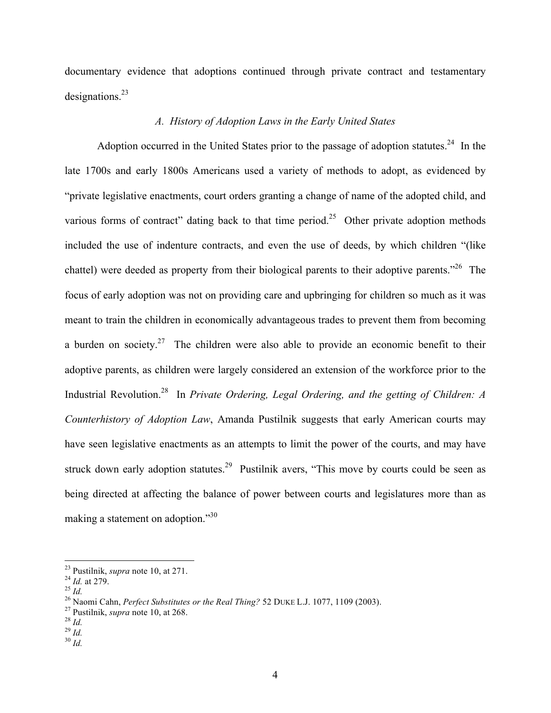documentary evidence that adoptions continued through private contract and testamentary designations. $^{23}$ 

## *A. History of Adoption Laws in the Early United States*

Adoption occurred in the United States prior to the passage of adoption statutes.<sup>24</sup> In the late 1700s and early 1800s Americans used a variety of methods to adopt, as evidenced by "private legislative enactments, court orders granting a change of name of the adopted child, and various forms of contract" dating back to that time period.<sup>25</sup> Other private adoption methods included the use of indenture contracts, and even the use of deeds, by which children "(like chattel) were deeded as property from their biological parents to their adoptive parents."<sup>26</sup> The focus of early adoption was not on providing care and upbringing for children so much as it was meant to train the children in economically advantageous trades to prevent them from becoming a burden on society.<sup>27</sup> The children were also able to provide an economic benefit to their adoptive parents, as children were largely considered an extension of the workforce prior to the Industrial Revolution.28 In *Private Ordering, Legal Ordering, and the getting of Children: A Counterhistory of Adoption Law*, Amanda Pustilnik suggests that early American courts may have seen legislative enactments as an attempts to limit the power of the courts, and may have struck down early adoption statutes.<sup>29</sup> Pustilnik avers, "This move by courts could be seen as being directed at affecting the balance of power between courts and legislatures more than as making a statement on adoption."30

<sup>&</sup>lt;sup>23</sup> Pustilnik, *supra* note 10, at 271.<br>
<sup>24</sup> *Id.* at 279.<br>
<sup>25</sup> *Id.*<br>
<sup>26</sup> Naomi Cahn, *Perfect Substitutes or the Real Thing?* 52 DUKE L.J. 1077, 1109 (2003).<br>
<sup>27</sup> Pustilnik, *supra* note 10, at 268.<br>
<sup>28</sup> *Id.*<br>
<sup>2</sup>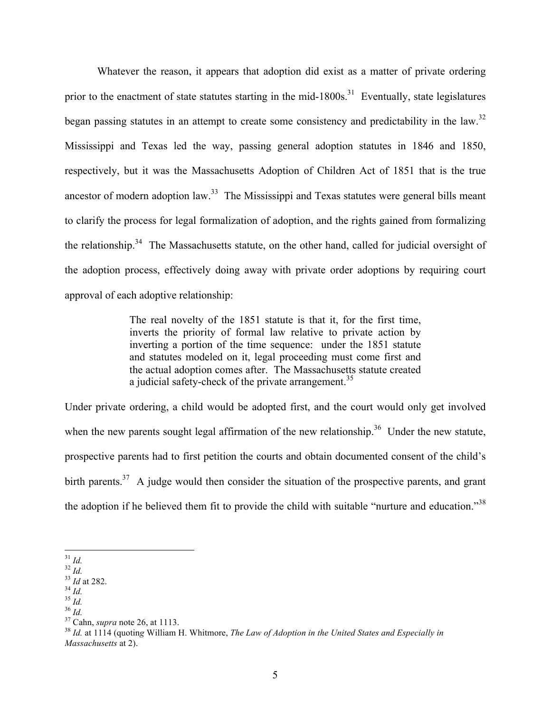Whatever the reason, it appears that adoption did exist as a matter of private ordering prior to the enactment of state statutes starting in the mid-1800s.<sup>31</sup> Eventually, state legislatures began passing statutes in an attempt to create some consistency and predictability in the law.<sup>32</sup> Mississippi and Texas led the way, passing general adoption statutes in 1846 and 1850, respectively, but it was the Massachusetts Adoption of Children Act of 1851 that is the true ancestor of modern adoption law.<sup>33</sup> The Mississippi and Texas statutes were general bills meant to clarify the process for legal formalization of adoption, and the rights gained from formalizing the relationship.<sup>34</sup> The Massachusetts statute, on the other hand, called for judicial oversight of the adoption process, effectively doing away with private order adoptions by requiring court approval of each adoptive relationship:

> The real novelty of the 1851 statute is that it, for the first time, inverts the priority of formal law relative to private action by inverting a portion of the time sequence: under the 1851 statute and statutes modeled on it, legal proceeding must come first and the actual adoption comes after. The Massachusetts statute created a judicial safety-check of the private arrangement.<sup>35</sup>

Under private ordering, a child would be adopted first, and the court would only get involved when the new parents sought legal affirmation of the new relationship.<sup>36</sup> Under the new statute, prospective parents had to first petition the courts and obtain documented consent of the child's birth parents.<sup>37</sup> A judge would then consider the situation of the prospective parents, and grant the adoption if he believed them fit to provide the child with suitable "nurture and education."<sup>38</sup>

<sup>&</sup>lt;sup>31</sup> *Id.*<br><sup>32</sup> *Id.*<br><sup>33</sup> *Id.*<br><sup>33</sup> *Id.*<br><sup>35</sup> *Id.*<br><sup>35</sup> *Id.*<br><sup>35</sup> *Id.*<br><sup>37</sup> Cahn, *supra* note 26, at 1113.<br><sup>37</sup> Cahn, *supra* note 26, at 1113.<br><sup>38</sup> *Id.* at 1114 (quoting William H. Whitmore, *The Law of Adoption Massachusetts* at 2).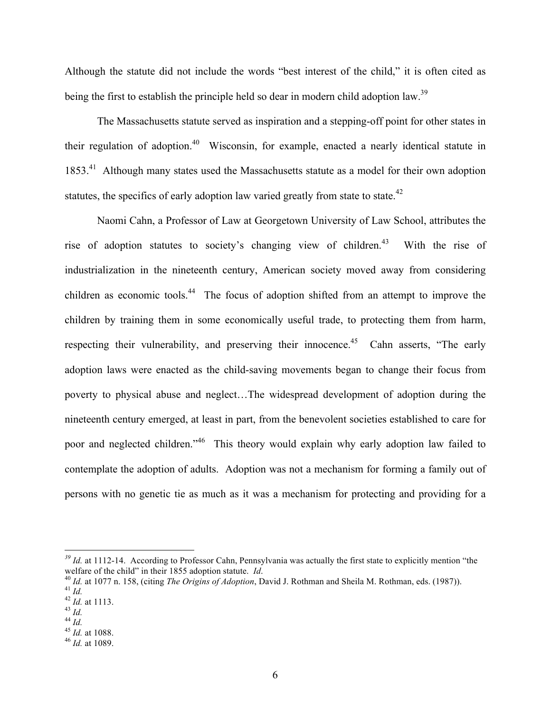Although the statute did not include the words "best interest of the child," it is often cited as being the first to establish the principle held so dear in modern child adoption law.<sup>39</sup>

The Massachusetts statute served as inspiration and a stepping-off point for other states in their regulation of adoption.<sup>40</sup> Wisconsin, for example, enacted a nearly identical statute in 1853<sup>.41</sup> Although many states used the Massachusetts statute as a model for their own adoption statutes, the specifics of early adoption law varied greatly from state to state.<sup>42</sup>

Naomi Cahn, a Professor of Law at Georgetown University of Law School, attributes the rise of adoption statutes to society's changing view of children.<sup>43</sup> With the rise of industrialization in the nineteenth century, American society moved away from considering children as economic tools.<sup>44</sup> The focus of adoption shifted from an attempt to improve the children by training them in some economically useful trade, to protecting them from harm, respecting their vulnerability, and preserving their innocence.<sup>45</sup> Cahn asserts, "The early adoption laws were enacted as the child-saving movements began to change their focus from poverty to physical abuse and neglect…The widespread development of adoption during the nineteenth century emerged, at least in part, from the benevolent societies established to care for poor and neglected children."46 This theory would explain why early adoption law failed to contemplate the adoption of adults. Adoption was not a mechanism for forming a family out of persons with no genetic tie as much as it was a mechanism for protecting and providing for a

<sup>&</sup>lt;sup>39</sup> *Id.* at 1112-14. According to Professor Cahn, Pennsylvania was actually the first state to explicitly mention "the welfare of the child" in their 1855 adoption statute. *Id.* 

<sup>&</sup>lt;sup>40</sup> *Id.* at 1077 n. 158, (citing *The Origins of Adoption*, David J. Rothman and Sheila M. Rothman, eds. (1987)).<br><sup>41</sup> *Id.*<br><sup>42</sup> *Id.* at 1113.<br><sup>43</sup> *Id.*<br><sup>44</sup> *Id.*<br><sup>44</sup> *Id.*<br><sup>45</sup> *Id.* at 1088.<br><sup>45</sup> *Id.* at 1089.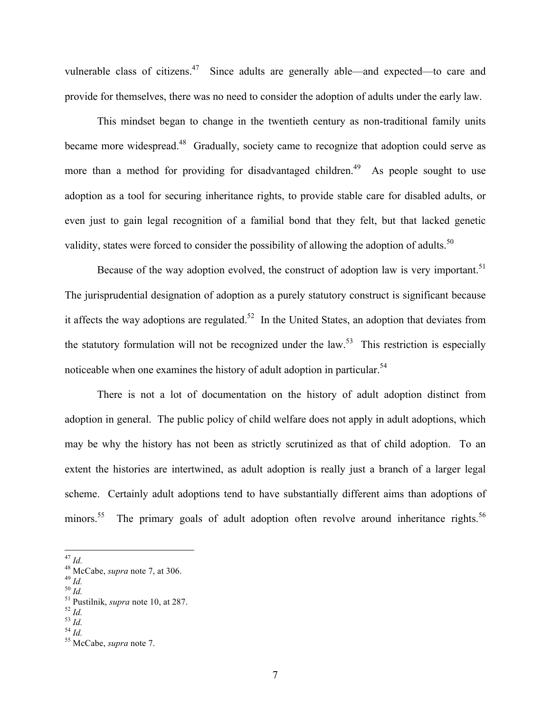vulnerable class of citizens.<sup>47</sup> Since adults are generally able—and expected—to care and provide for themselves, there was no need to consider the adoption of adults under the early law.

This mindset began to change in the twentieth century as non-traditional family units became more widespread.<sup>48</sup> Gradually, society came to recognize that adoption could serve as more than a method for providing for disadvantaged children.<sup>49</sup> As people sought to use adoption as a tool for securing inheritance rights, to provide stable care for disabled adults, or even just to gain legal recognition of a familial bond that they felt, but that lacked genetic validity, states were forced to consider the possibility of allowing the adoption of adults.<sup>50</sup>

Because of the way adoption evolved, the construct of adoption law is very important.<sup>51</sup> The jurisprudential designation of adoption as a purely statutory construct is significant because it affects the way adoptions are regulated.<sup>52</sup> In the United States, an adoption that deviates from the statutory formulation will not be recognized under the law.<sup>53</sup> This restriction is especially noticeable when one examines the history of adult adoption in particular.<sup>54</sup>

There is not a lot of documentation on the history of adult adoption distinct from adoption in general. The public policy of child welfare does not apply in adult adoptions, which may be why the history has not been as strictly scrutinized as that of child adoption. To an extent the histories are intertwined, as adult adoption is really just a branch of a larger legal scheme. Certainly adult adoptions tend to have substantially different aims than adoptions of minors.<sup>55</sup> The primary goals of adult adoption often revolve around inheritance rights.<sup>56</sup>

- 
- 

<sup>47</sup> *Id.*<br>
48 McCabe, *supra* note 7, at 306.<br>
49 *Id.*<br>
50 *Id.*<br>
51 Pustilnik, *supra* note 10, at 287.<br>
52 *Id.*<br>
54 *Id.*<br>
54 *Id.*<br>
55 McCabe, *supra* note 7.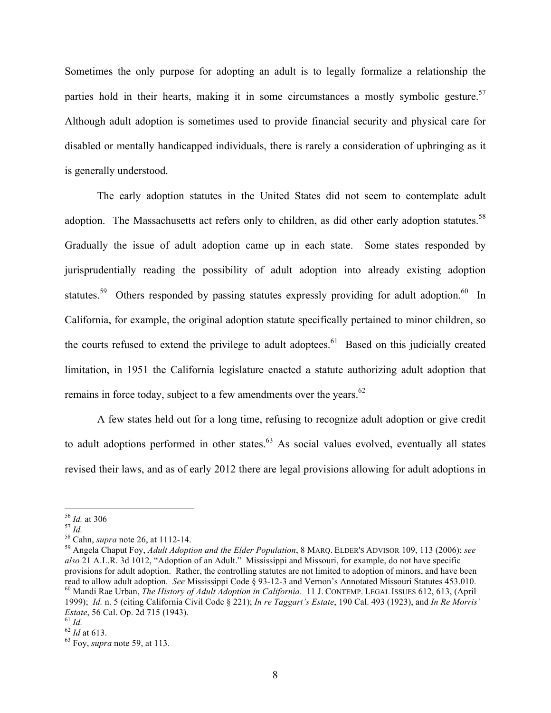Sometimes the only purpose for adopting an adult is to legally formalize a relationship the parties hold in their hearts, making it in some circumstances a mostly symbolic gesture.<sup>57</sup> Although adult adoption is sometimes used to provide financial security and physical care for disabled or mentally handicapped individuals, there is rarely a consideration of upbringing as it is generally understood.

The early adoption statutes in the United States did not seem to contemplate adult adoption. The Massachusetts act refers only to children, as did other early adoption statutes.<sup>58</sup> Gradually the issue of adult adoption came up in each state. Some states responded by jurisprudentially reading the possibility of adult adoption into already existing adoption statutes.<sup>59</sup> Others responded by passing statutes expressly providing for adult adoption.<sup>60</sup> In California, for example, the original adoption statute specifically pertained to minor children, so the courts refused to extend the privilege to adult adoptees.<sup>61</sup> Based on this judicially created limitation, in 1951 the California legislature enacted a statute authorizing adult adoption that remains in force today, subject to a few amendments over the years.<sup>62</sup>

A few states held out for a long time, refusing to recognize adult adoption or give credit to adult adoptions performed in other states. $63$  As social values evolved, eventually all states revised their laws, and as of early 2012 there are legal provisions allowing for adult adoptions in

<sup>56</sup> *Id.* at 306 <sup>57</sup> *Id.* <sup>58</sup> Cahn, *supra* note 26, at 1112-14. <sup>59</sup> Angela Chaput Foy, *Adult Adoption and the Elder Population*, 8 MARQ. ELDER'S ADVISOR 109, 113 (2006); *see also* 21 A.L.R. 3d 1012, "Adoption of an Adult." Mississippi and Missouri, for example, do not have specific provisions for adult adoption. Rather, the controlling statutes are not limited to adoption of minors, and have been read to allow adult adoption. See Mississippi Code § 93-12-3 and Vernon's Annotated Missouri Statutes 453 <sup>60</sup> Mandi Rae Urban, The History of Adult Adoption in California. 11 J. CONTEMP. LEGAL ISSUES 612, 613, (April 1999); *Id.* n. 5 (citing California Civil Code § 221); *In re Taggart's Estate*, 190 Cal. 493 (1923), and *In Re Morris' Estate*, 56 Cal. Op. 2d 715 (1943).<br><sup>61</sup> *Id.* <sup>62</sup> *Id* at 613. <sup>63</sup> Foy, *supra* note 59, at 113.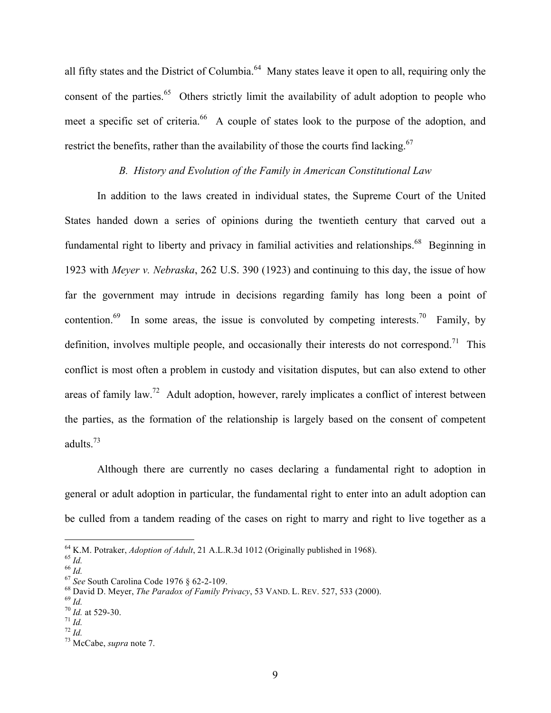all fifty states and the District of Columbia.<sup>64</sup> Many states leave it open to all, requiring only the consent of the parties.<sup>65</sup> Others strictly limit the availability of adult adoption to people who meet a specific set of criteria.<sup>66</sup> A couple of states look to the purpose of the adoption, and restrict the benefits, rather than the availability of those the courts find lacking.<sup>67</sup>

### *B. History and Evolution of the Family in American Constitutional Law*

In addition to the laws created in individual states, the Supreme Court of the United States handed down a series of opinions during the twentieth century that carved out a fundamental right to liberty and privacy in familial activities and relationships.<sup>68</sup> Beginning in 1923 with *Meyer v. Nebraska*, 262 U.S. 390 (1923) and continuing to this day, the issue of how far the government may intrude in decisions regarding family has long been a point of contention.<sup>69</sup> In some areas, the issue is convoluted by competing interests.<sup>70</sup> Family, by definition, involves multiple people, and occasionally their interests do not correspond.<sup>71</sup> This conflict is most often a problem in custody and visitation disputes, but can also extend to other areas of family law.<sup>72</sup> Adult adoption, however, rarely implicates a conflict of interest between the parties, as the formation of the relationship is largely based on the consent of competent adults.<sup>73</sup>

Although there are currently no cases declaring a fundamental right to adoption in general or adult adoption in particular, the fundamental right to enter into an adult adoption can be culled from a tandem reading of the cases on right to marry and right to live together as a

<sup>&</sup>lt;sup>64</sup> K.M. Potraker, *Adoption of Adult*, 21 A.L.R.3d 1012 (Originally published in 1968).<br>
<sup>65</sup> *Id.*<br>
<sup>67</sup> *See* South Carolina Code 1976 § 62-2-109.<br>
<sup>68</sup> David D. Meyer, *The Paradox of Family Privacy*, 53 VAND. L. REV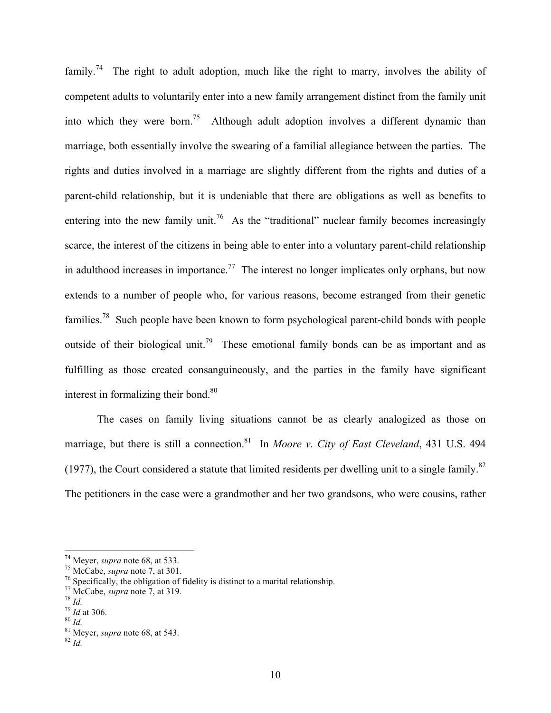family.<sup>74</sup> The right to adult adoption, much like the right to marry, involves the ability of competent adults to voluntarily enter into a new family arrangement distinct from the family unit into which they were born.<sup>75</sup> Although adult adoption involves a different dynamic than marriage, both essentially involve the swearing of a familial allegiance between the parties. The rights and duties involved in a marriage are slightly different from the rights and duties of a parent-child relationship, but it is undeniable that there are obligations as well as benefits to entering into the new family unit.<sup>76</sup> As the "traditional" nuclear family becomes increasingly scarce, the interest of the citizens in being able to enter into a voluntary parent-child relationship in adulthood increases in importance.<sup>77</sup> The interest no longer implicates only orphans, but now extends to a number of people who, for various reasons, become estranged from their genetic families.<sup>78</sup> Such people have been known to form psychological parent-child bonds with people outside of their biological unit.<sup>79</sup> These emotional family bonds can be as important and as fulfilling as those created consanguineously, and the parties in the family have significant interest in formalizing their bond. $80$ 

The cases on family living situations cannot be as clearly analogized as those on marriage, but there is still a connection.<sup>81</sup> In *Moore v. City of East Cleveland*, 431 U.S. 494 (1977), the Court considered a statute that limited residents per dwelling unit to a single family. $82$ The petitioners in the case were a grandmother and her two grandsons, who were cousins, rather

<sup>&</sup>lt;sup>74</sup> Meyer, *supra* note 68, at 533.<br><sup>75</sup> McCabe, *supra* note 7, at 301.<br><sup>76</sup> Specifically, the obligation of fidelity is distinct to a marital relationship.<br><sup>77</sup> McCabe, *supra* note 7, at 319.

<sup>78</sup> *Id.*<br>
<sup>79</sup> *Id* at 306.<br>
<sup>80</sup> *Id.*<br>
<sup>81</sup> Meyer, *supra* note 68, at 543.<br>
<sup>82</sup> *Id*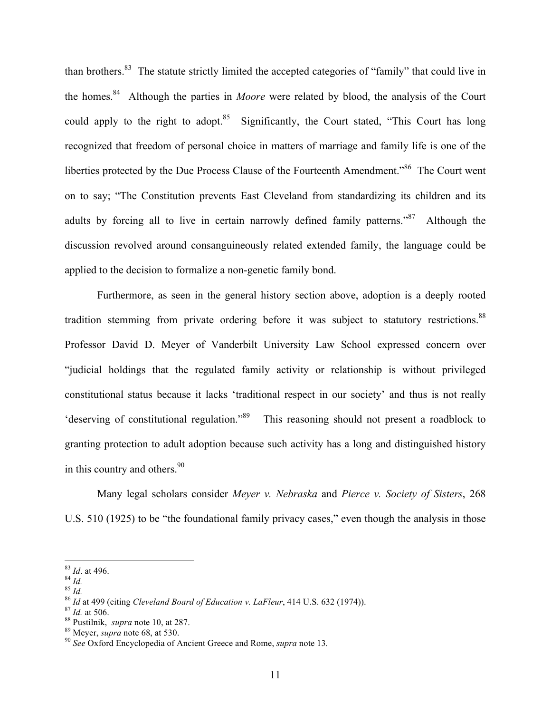than brothers.83 The statute strictly limited the accepted categories of "family" that could live in the homes.84 Although the parties in *Moore* were related by blood, the analysis of the Court could apply to the right to adopt.<sup>85</sup> Significantly, the Court stated, "This Court has long recognized that freedom of personal choice in matters of marriage and family life is one of the liberties protected by the Due Process Clause of the Fourteenth Amendment."<sup>86</sup> The Court went on to say; "The Constitution prevents East Cleveland from standardizing its children and its adults by forcing all to live in certain narrowly defined family patterns.<sup> $37$ </sup> Although the discussion revolved around consanguineously related extended family, the language could be applied to the decision to formalize a non-genetic family bond.

Furthermore, as seen in the general history section above, adoption is a deeply rooted tradition stemming from private ordering before it was subject to statutory restrictions.<sup>88</sup> Professor David D. Meyer of Vanderbilt University Law School expressed concern over "judicial holdings that the regulated family activity or relationship is without privileged constitutional status because it lacks 'traditional respect in our society' and thus is not really 'deserving of constitutional regulation."89 This reasoning should not present a roadblock to granting protection to adult adoption because such activity has a long and distinguished history in this country and others. $90$ 

Many legal scholars consider *Meyer v. Nebraska* and *Pierce v. Society of Sisters*, 268 U.S. 510 (1925) to be "the foundational family privacy cases," even though the analysis in those

<sup>&</sup>lt;sup>83</sup> *Id.* at 496.<br>
<sup>84</sup> *Id.*<br>
<sup>85</sup> *Id.*<br>
<sup>86</sup> *Id.*<br>
<sup>86</sup> *Id.*<br>
<sup>86</sup> *Id.* at 499 (citing Cleveland Board of Education v. LaFleur, 414 U.S. 632 (1974)).<br>
<sup>87</sup> *Id.* at 506.<br>
<sup>88</sup> Pustilnik, *supra* note 10, at 287.<br>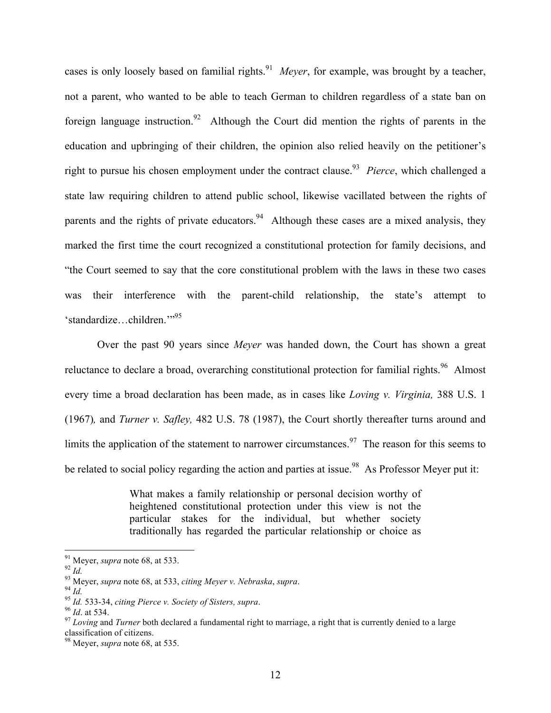cases is only loosely based on familial rights.<sup>91</sup> *Meyer*, for example, was brought by a teacher, not a parent, who wanted to be able to teach German to children regardless of a state ban on foreign language instruction.<sup>92</sup> Although the Court did mention the rights of parents in the education and upbringing of their children, the opinion also relied heavily on the petitioner's right to pursue his chosen employment under the contract clause.<sup>93</sup> *Pierce*, which challenged a state law requiring children to attend public school, likewise vacillated between the rights of parents and the rights of private educators.<sup>94</sup> Although these cases are a mixed analysis, they marked the first time the court recognized a constitutional protection for family decisions, and "the Court seemed to say that the core constitutional problem with the laws in these two cases was their interference with the parent-child relationship, the state's attempt to 'standardize...children."<sup>95</sup>

Over the past 90 years since *Meyer* was handed down, the Court has shown a great reluctance to declare a broad, overarching constitutional protection for familial rights.<sup>96</sup> Almost every time a broad declaration has been made, as in cases like *Loving v. Virginia,* 388 U.S. 1 (1967)*,* and *Turner v. Safley,* 482 U.S. 78 (1987), the Court shortly thereafter turns around and limits the application of the statement to narrower circumstances.<sup>97</sup> The reason for this seems to be related to social policy regarding the action and parties at issue.<sup>98</sup> As Professor Meyer put it:

> What makes a family relationship or personal decision worthy of heightened constitutional protection under this view is not the particular stakes for the individual, but whether society traditionally has regarded the particular relationship or choice as

<sup>&</sup>lt;sup>91</sup> Meyer, *supra* note 68, at 533.<br><sup>92</sup> *Id.*<br><sup>93</sup> Meyer, *supra* note 68, at 533, *citing Meyer v. Nebraska, supra*.<br><sup>95</sup> *Id.* 533-34, *citing Pierce v. Society of Sisters, supra*.<br><sup>96</sup> *Id.* at 534.<br><sup>97</sup> Loving and classification of citizens.

<sup>98</sup> Meyer, *supra* note 68, at 535.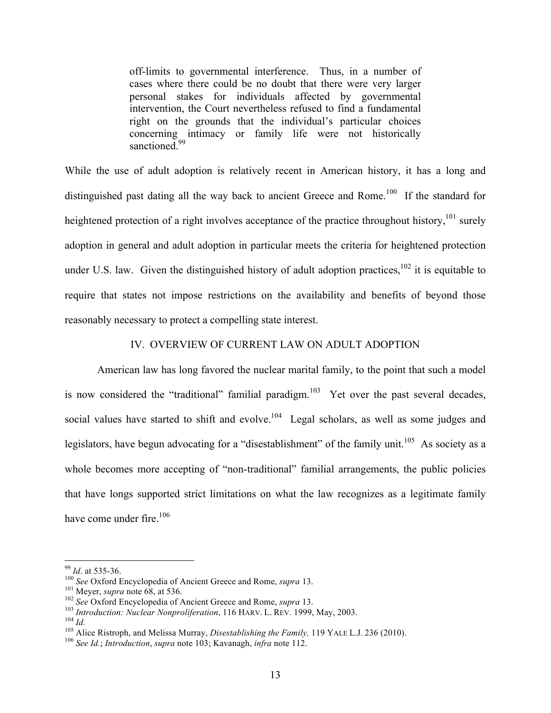off-limits to governmental interference. Thus, in a number of cases where there could be no doubt that there were very larger personal stakes for individuals affected by governmental intervention, the Court nevertheless refused to find a fundamental right on the grounds that the individual's particular choices concerning intimacy or family life were not historically sanctioned.<sup>99</sup>

While the use of adult adoption is relatively recent in American history, it has a long and distinguished past dating all the way back to ancient Greece and Rome.<sup>100</sup> If the standard for heightened protection of a right involves acceptance of the practice throughout history,<sup>101</sup> surely adoption in general and adult adoption in particular meets the criteria for heightened protection under U.S. law. Given the distinguished history of adult adoption practices,  $102$  it is equitable to require that states not impose restrictions on the availability and benefits of beyond those reasonably necessary to protect a compelling state interest.

### IV. OVERVIEW OF CURRENT LAW ON ADULT ADOPTION

American law has long favored the nuclear marital family, to the point that such a model is now considered the "traditional" familial paradigm.<sup>103</sup> Yet over the past several decades, social values have started to shift and evolve.<sup>104</sup> Legal scholars, as well as some judges and legislators, have begun advocating for a "disestablishment" of the family unit.<sup>105</sup> As society as a whole becomes more accepting of "non-traditional" familial arrangements, the public policies that have longs supported strict limitations on what the law recognizes as a legitimate family have come under fire. $106$ 

<sup>&</sup>lt;sup>99</sup> *Id.* at 535-36.<br><sup>100</sup> *See* Oxford Encyclopedia of Ancient Greece and Rome, *supra* 13.<br><sup>101</sup> Meyer, *supra* note 68, at 536.<br><sup>102</sup> *See* Oxford Encyclopedia of Ancient Greece and Rome, *supra* 13.<br><sup>103</sup> *Introducti*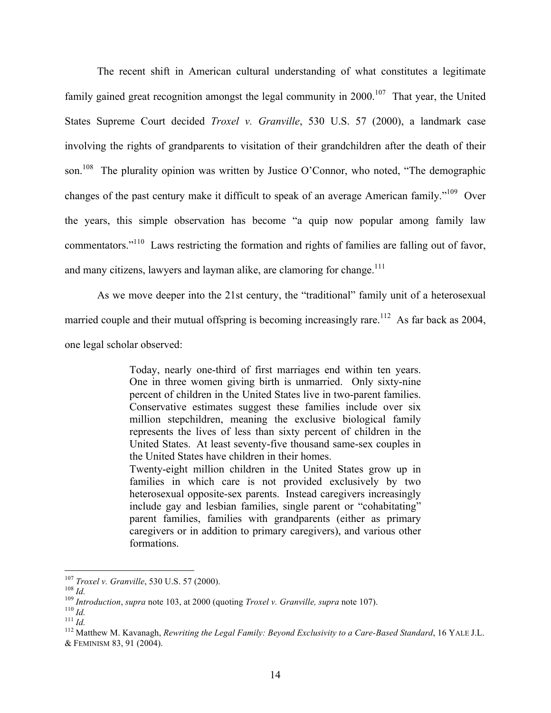The recent shift in American cultural understanding of what constitutes a legitimate family gained great recognition amongst the legal community in  $2000$ .<sup>107</sup> That year, the United States Supreme Court decided *Troxel v. Granville*, 530 U.S. 57 (2000), a landmark case involving the rights of grandparents to visitation of their grandchildren after the death of their son.<sup>108</sup> The plurality opinion was written by Justice O'Connor, who noted, "The demographic changes of the past century make it difficult to speak of an average American family."<sup>109</sup> Over the years, this simple observation has become "a quip now popular among family law commentators."110 Laws restricting the formation and rights of families are falling out of favor, and many citizens, lawyers and layman alike, are clamoring for change.<sup>111</sup>

As we move deeper into the 21st century, the "traditional" family unit of a heterosexual married couple and their mutual offspring is becoming increasingly rare.<sup>112</sup> As far back as 2004, one legal scholar observed:

> Today, nearly one-third of first marriages end within ten years. One in three women giving birth is unmarried. Only sixty-nine percent of children in the United States live in two-parent families. Conservative estimates suggest these families include over six million stepchildren, meaning the exclusive biological family represents the lives of less than sixty percent of children in the United States. At least seventy-five thousand same-sex couples in the United States have children in their homes. Twenty-eight million children in the United States grow up in families in which care is not provided exclusively by two heterosexual opposite-sex parents. Instead caregivers increasingly include gay and lesbian families, single parent or "cohabitating" parent families, families with grandparents (either as primary caregivers or in addition to primary caregivers), and various other formations.

<sup>&</sup>lt;sup>107</sup> Troxel v. Granville, 530 U.S. 57 (2000).<br><sup>108</sup> Id.<br><sup>109</sup> Introduction, supra note 103, at 2000 (quoting *Troxel v. Granville, supra* note 107).<br><sup>110</sup> Id.<br><sup>111</sup> Id.<br><sup>112</sup> Matthew M. Kavanagh, *Rewriting the Legal Fam* & FEMINISM 83, 91 (2004).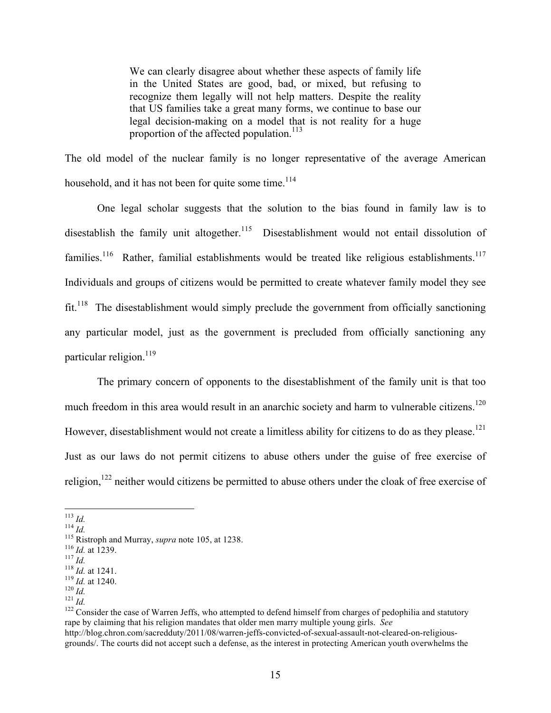We can clearly disagree about whether these aspects of family life in the United States are good, bad, or mixed, but refusing to recognize them legally will not help matters. Despite the reality that US families take a great many forms, we continue to base our legal decision-making on a model that is not reality for a huge proportion of the affected population.<sup>113</sup>

The old model of the nuclear family is no longer representative of the average American household, and it has not been for quite some time. $114$ 

One legal scholar suggests that the solution to the bias found in family law is to disestablish the family unit altogether.<sup>115</sup> Disestablishment would not entail dissolution of families.<sup>116</sup> Rather, familial establishments would be treated like religious establishments.<sup>117</sup> Individuals and groups of citizens would be permitted to create whatever family model they see fit.<sup>118</sup> The disestablishment would simply preclude the government from officially sanctioning any particular model, just as the government is precluded from officially sanctioning any particular religion. $119$ 

The primary concern of opponents to the disestablishment of the family unit is that too much freedom in this area would result in an anarchic society and harm to vulnerable citizens.<sup>120</sup> However, disestablishment would not create a limitless ability for citizens to do as they please.<sup>121</sup> Just as our laws do not permit citizens to abuse others under the guise of free exercise of religion,<sup>122</sup> neither would citizens be permitted to abuse others under the cloak of free exercise of

<sup>113</sup> *Id.*<br><sup>114</sup> *Id.*<br><sup>115</sup> Ristroph and Murray, *supra* note 105, at 1238.<br><sup>116</sup> *Id.* at 1239.<br><sup>117</sup> *Id.*<br><sup>118</sup> *Id.* at 1241.<br><sup>121</sup> *Id.*<br><sup>121</sup> *Id.*<br><sup>121</sup> *Id.*<br><sup>121</sup> *Id.*<br><sup>121</sup> *Id.* rape by claiming that his religion mandates that older men marry multiple young girls. *See* http://blog.chron.com/sacredduty/2011/08/warren-jeffs-convicted-of-sexual-assault-not-cleared-on-religious-

grounds/. The courts did not accept such a defense, as the interest in protecting American youth overwhelms the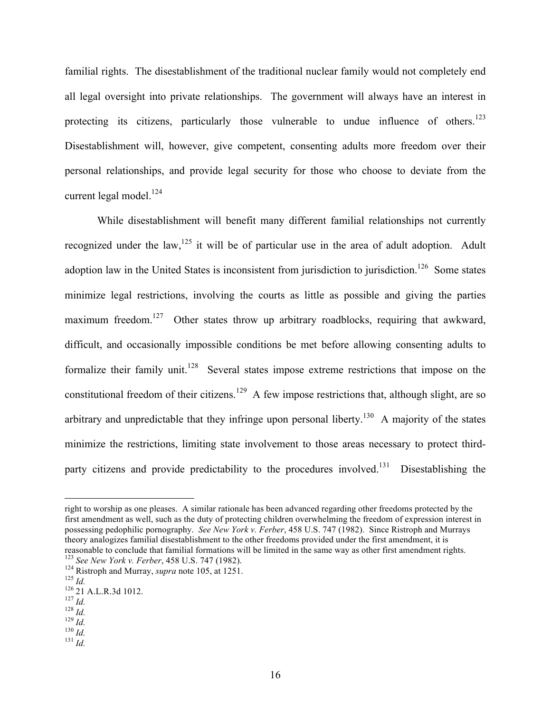familial rights. The disestablishment of the traditional nuclear family would not completely end all legal oversight into private relationships. The government will always have an interest in protecting its citizens, particularly those vulnerable to undue influence of others.<sup>123</sup> Disestablishment will, however, give competent, consenting adults more freedom over their personal relationships, and provide legal security for those who choose to deviate from the current legal model. $^{124}$ 

While disestablishment will benefit many different familial relationships not currently recognized under the law,<sup>125</sup> it will be of particular use in the area of adult adoption. Adult adoption law in the United States is inconsistent from jurisdiction to jurisdiction.<sup>126</sup> Some states minimize legal restrictions, involving the courts as little as possible and giving the parties maximum freedom.<sup>127</sup> Other states throw up arbitrary roadblocks, requiring that awkward, difficult, and occasionally impossible conditions be met before allowing consenting adults to formalize their family unit.<sup>128</sup> Several states impose extreme restrictions that impose on the constitutional freedom of their citizens.<sup>129</sup> A few impose restrictions that, although slight, are so arbitrary and unpredictable that they infringe upon personal liberty.<sup>130</sup> A majority of the states minimize the restrictions, limiting state involvement to those areas necessary to protect thirdparty citizens and provide predictability to the procedures involved.<sup>131</sup> Disestablishing the

right to worship as one pleases. A similar rationale has been advanced regarding other freedoms protected by the first amendment as well, such as the duty of protecting children overwhelming the freedom of expression interest in possessing pedophilic pornography. *See New York v. Ferber*, 458 U.S. 747 (1982). Since Ristroph and Murrays theory analogizes familial disestablishment to the other freedoms provided under the first amendment, it is reasonable to conclude that familial formations will be limited in the same way as other first amendment rights. reasonable to conclude that familial formations will be limited in the same way as other first amendment rights.<br><sup>123</sup> *See New York v. Ferber*, 458 U.S. 747 (1982).<br><sup>124</sup> Ristroph and Murray, *supra* note 105, at 1251.<br><sup></sup>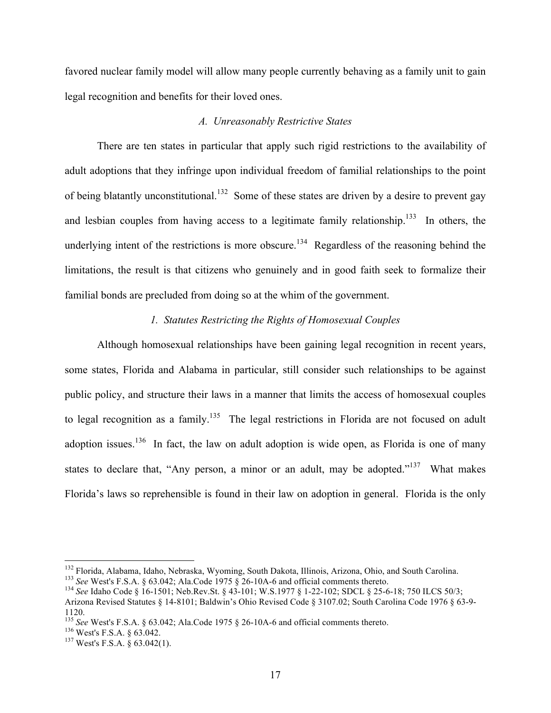favored nuclear family model will allow many people currently behaving as a family unit to gain legal recognition and benefits for their loved ones.

### *A. Unreasonably Restrictive States*

There are ten states in particular that apply such rigid restrictions to the availability of adult adoptions that they infringe upon individual freedom of familial relationships to the point of being blatantly unconstitutional.<sup>132</sup> Some of these states are driven by a desire to prevent gay and lesbian couples from having access to a legitimate family relationship.<sup>133</sup> In others, the underlying intent of the restrictions is more obscure.<sup>134</sup> Regardless of the reasoning behind the limitations, the result is that citizens who genuinely and in good faith seek to formalize their familial bonds are precluded from doing so at the whim of the government.

## *1. Statutes Restricting the Rights of Homosexual Couples*

Although homosexual relationships have been gaining legal recognition in recent years, some states, Florida and Alabama in particular, still consider such relationships to be against public policy, and structure their laws in a manner that limits the access of homosexual couples to legal recognition as a family.<sup>135</sup> The legal restrictions in Florida are not focused on adult adoption issues.<sup>136</sup> In fact, the law on adult adoption is wide open, as Florida is one of many states to declare that, "Any person, a minor or an adult, may be adopted."<sup>137</sup> What makes Florida's laws so reprehensible is found in their law on adoption in general. Florida is the only

<sup>&</sup>lt;sup>132</sup> Florida, Alabama, Idaho, Nebraska, Wyoming, South Dakota, Illinois, Arizona, Ohio, and South Carolina.<br><sup>133</sup> See West's F.S.A. § 63.042; Ala.Code 1975 § 26-10A-6 and official comments thereto.<br><sup>134</sup> See Idaho Code §

Arizona Revised Statutes § 14-8101; Baldwin's Ohio Revised Code § 3107.02; South Carolina Code 1976 § 63-9- 1120.

<sup>&</sup>lt;sup>135</sup> *See* West's F.S.A. § 63.042; Ala.Code 1975 § 26-10A-6 and official comments thereto. <sup>136</sup> West's F.S.A. § 63.042. <sup>137</sup> West's F.S.A. § 63.042(1).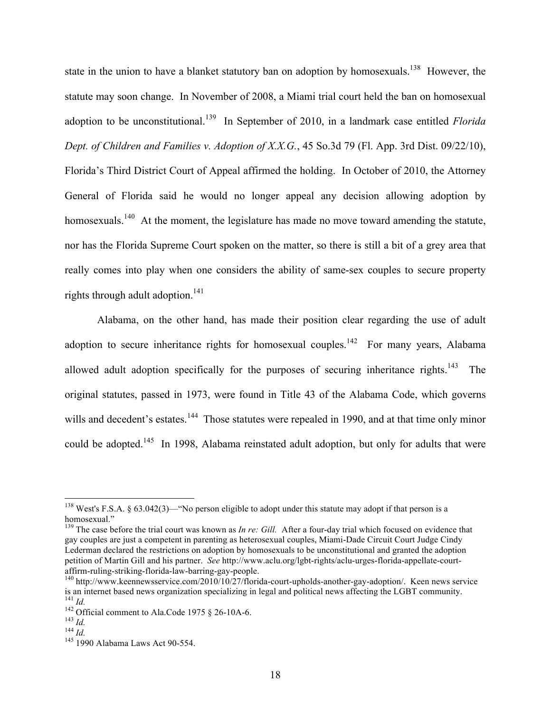state in the union to have a blanket statutory ban on adoption by homosexuals.<sup>138</sup> However, the statute may soon change. In November of 2008, a Miami trial court held the ban on homosexual adoption to be unconstitutional.139 In September of 2010, in a landmark case entitled *Florida Dept. of Children and Families v. Adoption of X.X.G.*, 45 So.3d 79 (Fl. App. 3rd Dist. 09/22/10), Florida's Third District Court of Appeal affirmed the holding. In October of 2010, the Attorney General of Florida said he would no longer appeal any decision allowing adoption by homosexuals.<sup>140</sup> At the moment, the legislature has made no move toward amending the statute, nor has the Florida Supreme Court spoken on the matter, so there is still a bit of a grey area that really comes into play when one considers the ability of same-sex couples to secure property rights through adult adoption.<sup>141</sup>

Alabama, on the other hand, has made their position clear regarding the use of adult adoption to secure inheritance rights for homosexual couples.<sup>142</sup> For many years, Alabama allowed adult adoption specifically for the purposes of securing inheritance rights.<sup>143</sup> The original statutes, passed in 1973, were found in Title 43 of the Alabama Code, which governs wills and decedent's estates.<sup>144</sup> Those statutes were repealed in 1990, and at that time only minor could be adopted.<sup>145</sup> In 1998, Alabama reinstated adult adoption, but only for adults that were

<sup>&</sup>lt;sup>138</sup> West's F.S.A. § 63.042(3)— "No person eligible to adopt under this statute may adopt if that person is a homosexual."

<sup>&</sup>lt;sup>139</sup> The case before the trial court was known as *In re: Gill.* After a four-day trial which focused on evidence that gay couples are just a competent in parenting as heterosexual couples, Miami-Dade Circuit Court Judge Cindy Lederman declared the restrictions on adoption by homosexuals to be unconstitutional and granted the adoption petition of Martin Gill and his partner. *See* http://www.aclu.org/lgbt-rights/aclu-urges-florida-appellate-courtaffirm-ruling-striking-florida-law-barring-gay-people.<br><sup>140</sup> http://www.keennewsservice.com/2010/10/27/florida-court-upholds-another-gay-adoption/. Keen news service

is an internet based news organization specializing in legal and political news affecting the LGBT community.<br><sup>141</sup> Id.<br><sup>142</sup> Official comment to Ala.Code 1975 § 26-10A-6.<br><sup>143</sup> Id.<br><sup>144</sup> Id.<br><sup>144</sup> Id.<br><sup>144</sup> Id.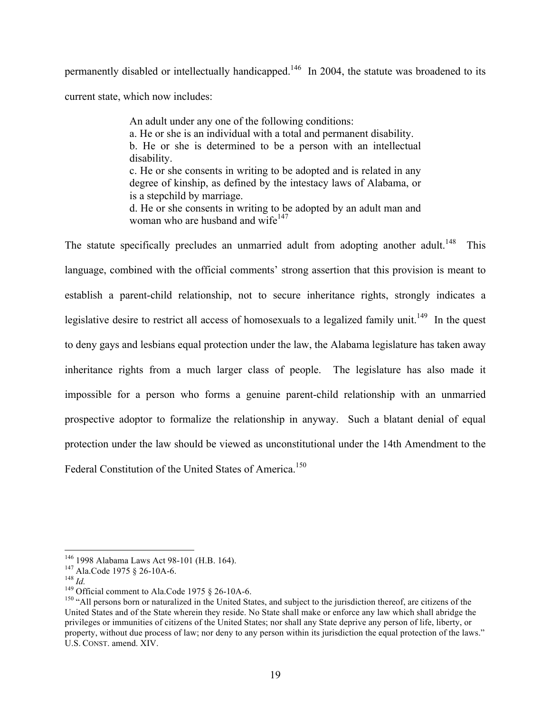permanently disabled or intellectually handicapped.<sup>146</sup> In 2004, the statute was broadened to its current state, which now includes:

> An adult under any one of the following conditions: a. He or she is an individual with a total and permanent disability. b. He or she is determined to be a person with an intellectual disability. c. He or she consents in writing to be adopted and is related in any degree of kinship, as defined by the intestacy laws of Alabama, or is a stepchild by marriage.

d. He or she consents in writing to be adopted by an adult man and woman who are husband and wife $147$ 

The statute specifically precludes an unmarried adult from adopting another adult.<sup>148</sup> This language, combined with the official comments' strong assertion that this provision is meant to establish a parent-child relationship, not to secure inheritance rights, strongly indicates a legislative desire to restrict all access of homosexuals to a legalized family unit.<sup>149</sup> In the quest to deny gays and lesbians equal protection under the law, the Alabama legislature has taken away inheritance rights from a much larger class of people. The legislature has also made it impossible for a person who forms a genuine parent-child relationship with an unmarried prospective adoptor to formalize the relationship in anyway. Such a blatant denial of equal protection under the law should be viewed as unconstitutional under the 14th Amendment to the Federal Constitution of the United States of America.<sup>150</sup>

<sup>&</sup>lt;sup>146</sup> 1998 Alabama Laws Act 98-101 (H.B. 164).<br><sup>147</sup> Ala.Code 1975 § 26-10A-6.<br><sup>148</sup> Official comment to Ala.Code 1975 § 26-10A-6.<br><sup>149</sup> Official comment to Ala.Code 1975 § 26-10A-6.<br><sup>150</sup> "All persons born or naturalized United States and of the State wherein they reside. No State shall make or enforce any law which shall abridge the privileges or immunities of citizens of the United States; nor shall any State deprive any person of life, liberty, or property, without due process of law; nor deny to any person within its jurisdiction the equal protection of the laws." U.S. CONST. amend. XIV.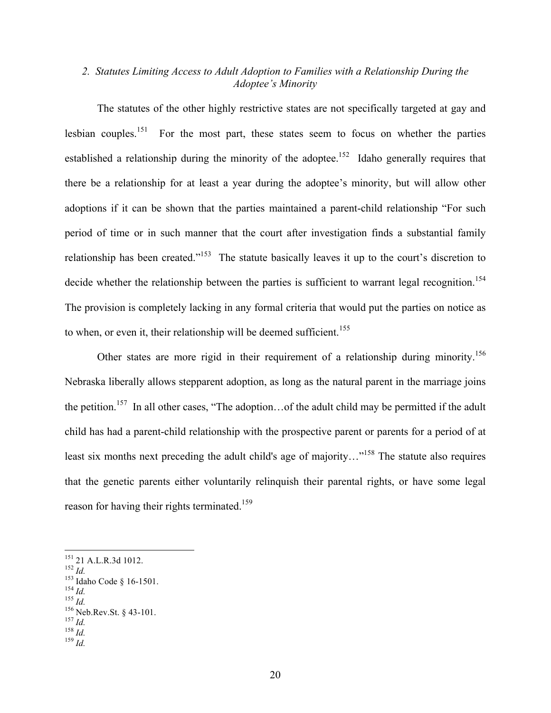# *2. Statutes Limiting Access to Adult Adoption to Families with a Relationship During the Adoptee's Minority*

The statutes of the other highly restrictive states are not specifically targeted at gay and lesbian couples.<sup>151</sup> For the most part, these states seem to focus on whether the parties established a relationship during the minority of the adoptee.<sup>152</sup> Idaho generally requires that there be a relationship for at least a year during the adoptee's minority, but will allow other adoptions if it can be shown that the parties maintained a parent-child relationship "For such period of time or in such manner that the court after investigation finds a substantial family relationship has been created."<sup>153</sup> The statute basically leaves it up to the court's discretion to decide whether the relationship between the parties is sufficient to warrant legal recognition.<sup>154</sup> The provision is completely lacking in any formal criteria that would put the parties on notice as to when, or even it, their relationship will be deemed sufficient.<sup>155</sup>

Other states are more rigid in their requirement of a relationship during minority.<sup>156</sup> Nebraska liberally allows stepparent adoption, as long as the natural parent in the marriage joins the petition.<sup>157</sup> In all other cases, "The adoption... of the adult child may be permitted if the adult child has had a parent-child relationship with the prospective parent or parents for a period of at least six months next preceding the adult child's age of majority..."<sup>158</sup> The statute also requires that the genetic parents either voluntarily relinquish their parental rights, or have some legal reason for having their rights terminated.<sup>159</sup>

<sup>151 21</sup> A.L.R.3d 1012.<br>
152 *Id.*<br>
153 Idaho Code § 16-1501.<br>
154 *Id.*<br>
155 *Id.*<br>
156 Neb.Rev.St. § 43-101.<br>
157 *Id.* 158 *Id.*<br>
159 *Id.*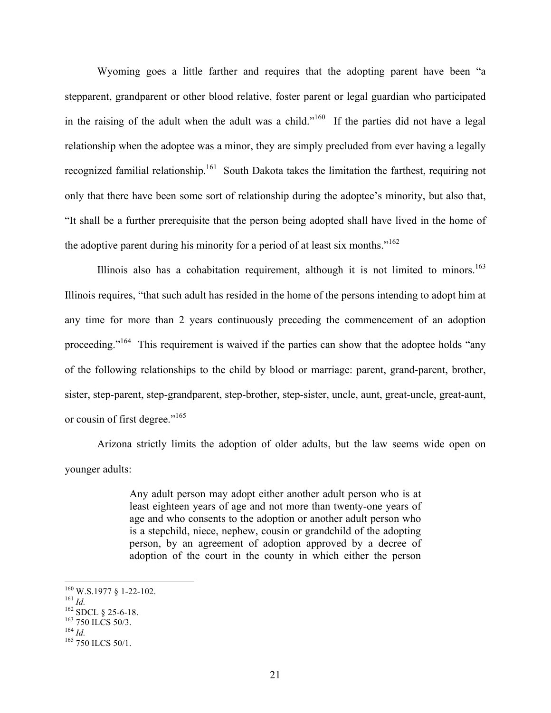Wyoming goes a little farther and requires that the adopting parent have been "a stepparent, grandparent or other blood relative, foster parent or legal guardian who participated in the raising of the adult when the adult was a child."<sup>160</sup> If the parties did not have a legal relationship when the adoptee was a minor, they are simply precluded from ever having a legally recognized familial relationship.<sup>161</sup> South Dakota takes the limitation the farthest, requiring not only that there have been some sort of relationship during the adoptee's minority, but also that, "It shall be a further prerequisite that the person being adopted shall have lived in the home of the adoptive parent during his minority for a period of at least six months."<sup>162</sup>

Illinois also has a cohabitation requirement, although it is not limited to minors.<sup>163</sup> Illinois requires, "that such adult has resided in the home of the persons intending to adopt him at any time for more than 2 years continuously preceding the commencement of an adoption proceeding."<sup>164</sup> This requirement is waived if the parties can show that the adoptee holds "any of the following relationships to the child by blood or marriage: parent, grand-parent, brother, sister, step-parent, step-grandparent, step-brother, step-sister, uncle, aunt, great-uncle, great-aunt, or cousin of first degree."165

Arizona strictly limits the adoption of older adults, but the law seems wide open on younger adults:

> Any adult person may adopt either another adult person who is at least eighteen years of age and not more than twenty-one years of age and who consents to the adoption or another adult person who is a stepchild, niece, nephew, cousin or grandchild of the adopting person, by an agreement of adoption approved by a decree of adoption of the court in the county in which either the person

<sup>160</sup> W.S.1977 § 1-22-102.<br>
<sup>161</sup> *Id.*<br>
<sup>162</sup> SDCL § 25-6-18.<br>
<sup>163</sup> 750 ILCS 50/3.<br>
<sup>164</sup> *Id.*<br>
<sup>165</sup> 750 ILCS 50/1.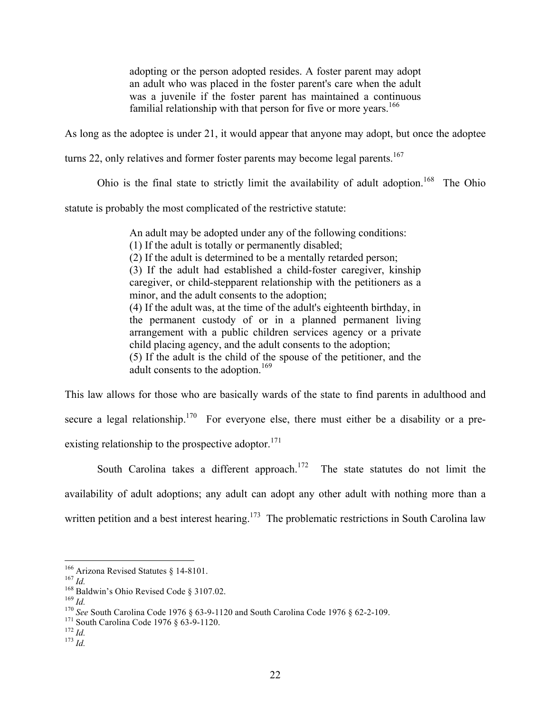adopting or the person adopted resides. A foster parent may adopt an adult who was placed in the foster parent's care when the adult was a juvenile if the foster parent has maintained a continuous familial relationship with that person for five or more years.<sup>166</sup>

As long as the adoptee is under 21, it would appear that anyone may adopt, but once the adoptee

turns 22, only relatives and former foster parents may become legal parents.<sup>167</sup>

Ohio is the final state to strictly limit the availability of adult adoption.<sup>168</sup> The Ohio

statute is probably the most complicated of the restrictive statute:

An adult may be adopted under any of the following conditions:

(1) If the adult is totally or permanently disabled;

(2) If the adult is determined to be a mentally retarded person;

(3) If the adult had established a child-foster caregiver, kinship caregiver, or child-stepparent relationship with the petitioners as a minor, and the adult consents to the adoption;

(4) If the adult was, at the time of the adult's eighteenth birthday, in the permanent custody of or in a planned permanent living arrangement with a public children services agency or a private child placing agency, and the adult consents to the adoption;

(5) If the adult is the child of the spouse of the petitioner, and the adult consents to the adoption.<sup>169</sup>

This law allows for those who are basically wards of the state to find parents in adulthood and secure a legal relationship.<sup>170</sup> For everyone else, there must either be a disability or a preexisting relationship to the prospective adoptor. $171$ 

South Carolina takes a different approach.<sup>172</sup> The state statutes do not limit the availability of adult adoptions; any adult can adopt any other adult with nothing more than a written petition and a best interest hearing.<sup>173</sup> The problematic restrictions in South Carolina law

<sup>&</sup>lt;sup>166</sup> Arizona Revised Statutes § 14-8101.<br>
<sup>167</sup> *Id.*<br>
<sup>168</sup> Baldwin's Ohio Revised Code § 3107.02.<br>
<sup>168</sup> Baldwin's Ohio Revised Code § 3107.02.<br>
<sup>170</sup> *See* South Carolina Code 1976 § 63-9-1120 and South Carolina Code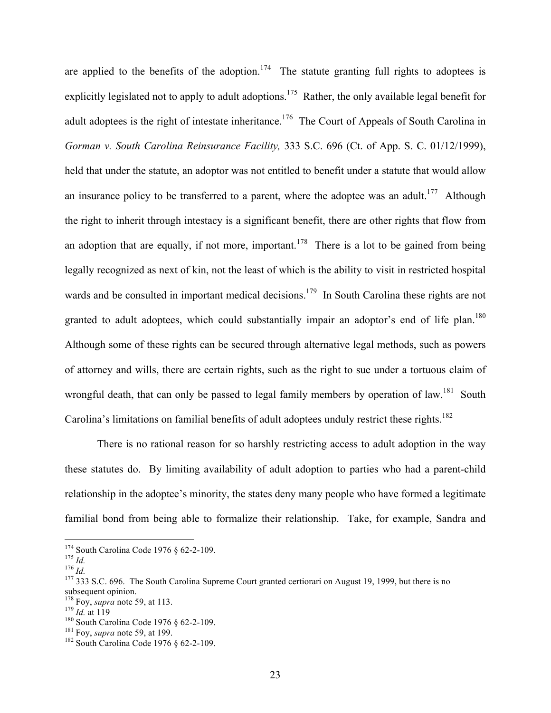are applied to the benefits of the adoption.<sup>174</sup> The statute granting full rights to adoptees is explicitly legislated not to apply to adult adoptions.<sup>175</sup> Rather, the only available legal benefit for adult adoptees is the right of intestate inheritance.<sup>176</sup> The Court of Appeals of South Carolina in *Gorman v. South Carolina Reinsurance Facility,* 333 S.C. 696 (Ct. of App. S. C. 01/12/1999), held that under the statute, an adoptor was not entitled to benefit under a statute that would allow an insurance policy to be transferred to a parent, where the adoptee was an adult.<sup>177</sup> Although the right to inherit through intestacy is a significant benefit, there are other rights that flow from an adoption that are equally, if not more, important.<sup>178</sup> There is a lot to be gained from being legally recognized as next of kin, not the least of which is the ability to visit in restricted hospital wards and be consulted in important medical decisions.<sup>179</sup> In South Carolina these rights are not granted to adult adoptees, which could substantially impair an adoptor's end of life plan.<sup>180</sup> Although some of these rights can be secured through alternative legal methods, such as powers of attorney and wills, there are certain rights, such as the right to sue under a tortuous claim of wrongful death, that can only be passed to legal family members by operation of law.<sup>181</sup> South Carolina's limitations on familial benefits of adult adoptees unduly restrict these rights.<sup>182</sup>

There is no rational reason for so harshly restricting access to adult adoption in the way these statutes do. By limiting availability of adult adoption to parties who had a parent-child relationship in the adoptee's minority, the states deny many people who have formed a legitimate familial bond from being able to formalize their relationship. Take, for example, Sandra and

<sup>&</sup>lt;sup>174</sup> South Carolina Code 1976 § 62-2-109.<br><sup>175</sup> *Id.* 176 *Id.* 176 *Id.* 176 *Id.* 177 333 S.C. 696. The South Carolina Supreme Court granted certiorari on August 19, 1999, but there is no subsequent opinion.<br><sup>178</sup> Foy, *supra* note 59, at 113.

<sup>&</sup>lt;sup>179</sup> *Id.* at 119<br><sup>180</sup> South Carolina Code 1976 § 62-2-109.<br><sup>181</sup> Foy, *supra* note 59, at 199.<br><sup>182</sup> South Carolina Code 1976 § 62-2-109.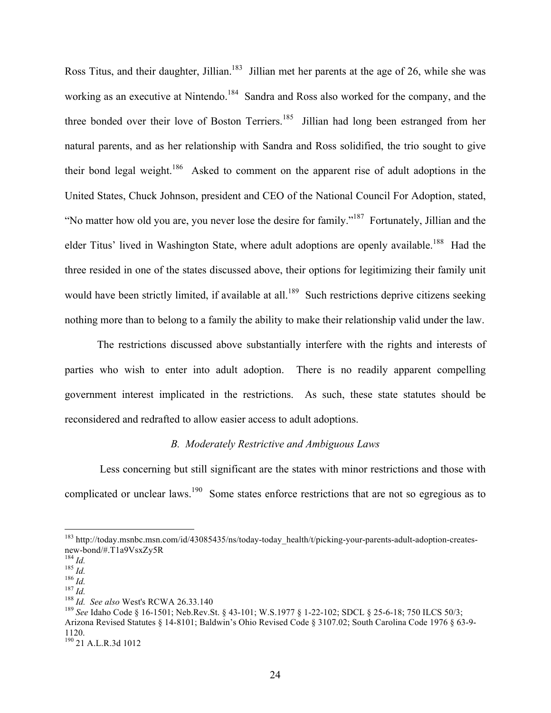Ross Titus, and their daughter, Jillian.<sup>183</sup> Jillian met her parents at the age of 26, while she was working as an executive at Nintendo.<sup>184</sup> Sandra and Ross also worked for the company, and the three bonded over their love of Boston Terriers.<sup>185</sup> Jillian had long been estranged from her natural parents, and as her relationship with Sandra and Ross solidified, the trio sought to give their bond legal weight.<sup>186</sup> Asked to comment on the apparent rise of adult adoptions in the United States, Chuck Johnson, president and CEO of the National Council For Adoption, stated, "No matter how old you are, you never lose the desire for family."187 Fortunately, Jillian and the elder Titus' lived in Washington State, where adult adoptions are openly available.<sup>188</sup> Had the three resided in one of the states discussed above, their options for legitimizing their family unit would have been strictly limited, if available at all.<sup>189</sup> Such restrictions deprive citizens seeking nothing more than to belong to a family the ability to make their relationship valid under the law.

The restrictions discussed above substantially interfere with the rights and interests of parties who wish to enter into adult adoption. There is no readily apparent compelling government interest implicated in the restrictions. As such, these state statutes should be reconsidered and redrafted to allow easier access to adult adoptions.

### *B. Moderately Restrictive and Ambiguous Laws*

 Less concerning but still significant are the states with minor restrictions and those with complicated or unclear laws.<sup>190</sup> Some states enforce restrictions that are not so egregious as to

<sup>&</sup>lt;sup>183</sup> http://today.msnbc.msn.com/id/43085435/ns/today-today\_health/t/picking-your-parents-adult-adoption-creates-<br>new-bond/#.T1a9VsxZy5R

<sup>&</sup>lt;sup>184</sup> *Id.*<br>
<sup>185</sup> *Id.*<br>
<sup>186</sup> *Id.*<br>
<sup>187</sup> *Id.*<br>
<sup>187</sup> *Id.*<br>
<sup>187</sup> *Id.*<br>
<sup>187</sup> *Id.*<br>
<sup>187</sup> *Id.*<br>
<sup>188</sup> *Id.* See also West's RCWA 26.33.140<br>
<sup>189</sup> See Idaho Code § 16-1501; Neb.Rev.St. § 43-101; W.S.1977 § 1-22-102 Arizona Revised Statutes § 14-8101; Baldwin's Ohio Revised Code § 3107.02; South Carolina Code 1976 § 63-9- 1120.

<sup>190 21</sup> A.L.R.3d 1012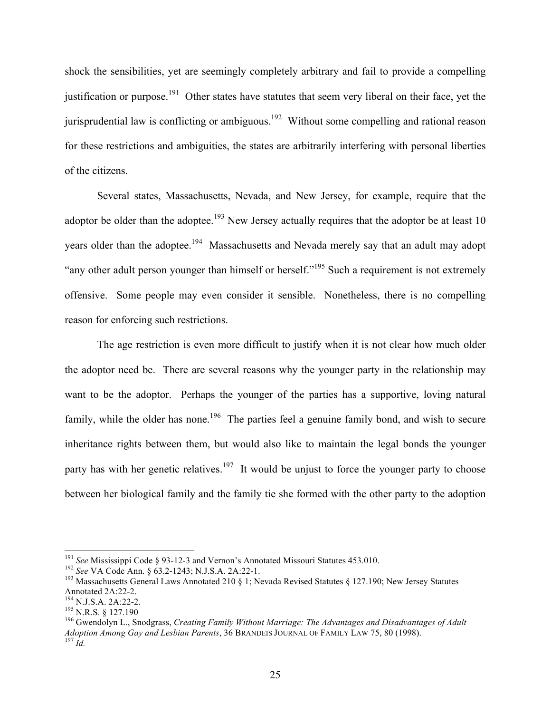shock the sensibilities, yet are seemingly completely arbitrary and fail to provide a compelling justification or purpose.<sup>191</sup> Other states have statutes that seem very liberal on their face, yet the jurisprudential law is conflicting or ambiguous.<sup>192</sup> Without some compelling and rational reason for these restrictions and ambiguities, the states are arbitrarily interfering with personal liberties of the citizens.

Several states, Massachusetts, Nevada, and New Jersey, for example, require that the adoptor be older than the adoptee.<sup>193</sup> New Jersey actually requires that the adoptor be at least 10 years older than the adoptee.<sup>194</sup> Massachusetts and Nevada merely say that an adult may adopt "any other adult person younger than himself or herself."<sup>195</sup> Such a requirement is not extremely offensive. Some people may even consider it sensible. Nonetheless, there is no compelling reason for enforcing such restrictions.

The age restriction is even more difficult to justify when it is not clear how much older the adoptor need be. There are several reasons why the younger party in the relationship may want to be the adoptor. Perhaps the younger of the parties has a supportive, loving natural family, while the older has none.<sup>196</sup> The parties feel a genuine family bond, and wish to secure inheritance rights between them, but would also like to maintain the legal bonds the younger party has with her genetic relatives.<sup>197</sup> It would be unjust to force the younger party to choose between her biological family and the family tie she formed with the other party to the adoption

<sup>&</sup>lt;sup>191</sup> See Mississippi Code § 93-12-3 and Vernon's Annotated Missouri Statutes 453.010.<br><sup>192</sup> See VA Code Ann. § 63.2-1243; N.J.S.A. 2A:22-1.<br><sup>193</sup> Massachusetts General Laws Annotated 210 § 1; Nevada Revised Statutes § 12 Annotated 2A:22-2.<br><sup>194</sup> N.J.S.A. 2A:22-2.<br><sup>195</sup> N.R.S. § 127.190<br><sup>196</sup> Gwendolyn L., Snodgrass, *Creating Family Without Marriage: The Advantages and Disadvantages of Adult* 

*Adoption Among Gay and Lesbian Parents*, 36 BRANDEIS JOURNAL OF FAMILY LAW 75, 80 (1998). <sup>197</sup> *Id.*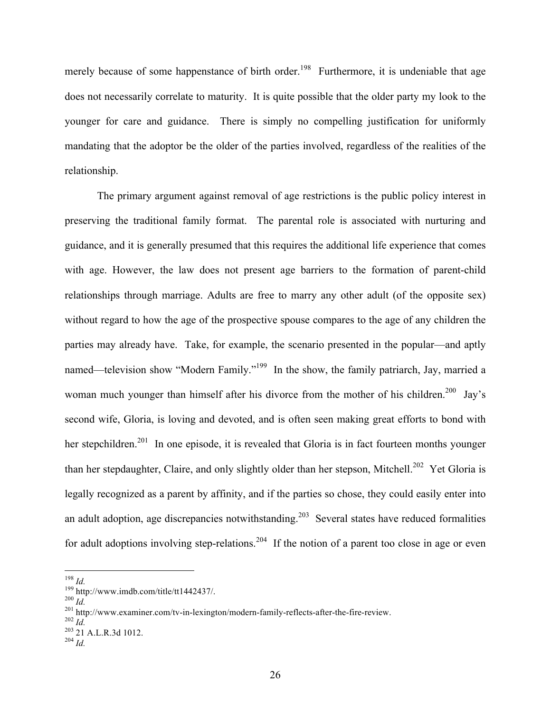merely because of some happenstance of birth order.<sup>198</sup> Furthermore, it is undeniable that age does not necessarily correlate to maturity. It is quite possible that the older party my look to the younger for care and guidance. There is simply no compelling justification for uniformly mandating that the adoptor be the older of the parties involved, regardless of the realities of the relationship.

The primary argument against removal of age restrictions is the public policy interest in preserving the traditional family format. The parental role is associated with nurturing and guidance, and it is generally presumed that this requires the additional life experience that comes with age. However, the law does not present age barriers to the formation of parent-child relationships through marriage. Adults are free to marry any other adult (of the opposite sex) without regard to how the age of the prospective spouse compares to the age of any children the parties may already have. Take, for example, the scenario presented in the popular—and aptly named—television show "Modern Family."<sup>199</sup> In the show, the family patriarch, Jay, married a woman much younger than himself after his divorce from the mother of his children.<sup>200</sup> Jay's second wife, Gloria, is loving and devoted, and is often seen making great efforts to bond with her stepchildren.<sup>201</sup> In one episode, it is revealed that Gloria is in fact fourteen months younger than her stepdaughter, Claire, and only slightly older than her stepson, Mitchell.<sup>202</sup> Yet Gloria is legally recognized as a parent by affinity, and if the parties so chose, they could easily enter into an adult adoption, age discrepancies notwithstanding.<sup>203</sup> Several states have reduced formalities for adult adoptions involving step-relations.<sup>204</sup> If the notion of a parent too close in age or even

<sup>&</sup>lt;sup>198</sup> *Id.*<br>
<sup>199</sup> http://www.imdb.com/title/tt1442437/.<br>
<sup>200</sup> *Id.*<br>
<sup>201</sup> http://www.examiner.com/tv-in-lexington/modern-family-reflects-after-the-fire-review.<br>
<sup>202</sup> *Id.*<br>
<sup>203</sup> 21 A.L.R.3d 1012.<br>
<sup>204</sup> *Id*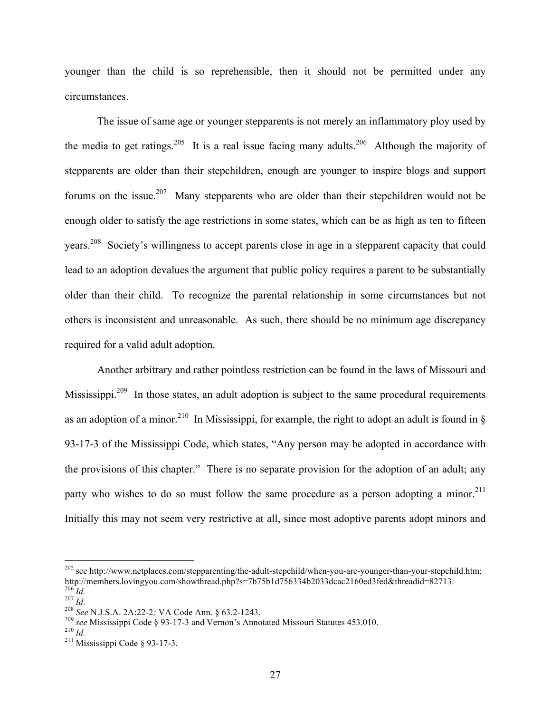younger than the child is so reprehensible, then it should not be permitted under any circumstances.

The issue of same age or younger stepparents is not merely an inflammatory ploy used by the media to get ratings.<sup>205</sup> It is a real issue facing many adults.<sup>206</sup> Although the majority of stepparents are older than their stepchildren, enough are younger to inspire blogs and support forums on the issue.<sup>207</sup> Many stepparents who are older than their stepchildren would not be enough older to satisfy the age restrictions in some states, which can be as high as ten to fifteen years.208 Society's willingness to accept parents close in age in a stepparent capacity that could lead to an adoption devalues the argument that public policy requires a parent to be substantially older than their child. To recognize the parental relationship in some circumstances but not others is inconsistent and unreasonable. As such, there should be no minimum age discrepancy required for a valid adult adoption.

Another arbitrary and rather pointless restriction can be found in the laws of Missouri and Mississippi.<sup>209</sup> In those states, an adult adoption is subject to the same procedural requirements as an adoption of a minor.<sup>210</sup> In Mississippi, for example, the right to adopt an adult is found in  $\S$ 93-17-3 of the Mississippi Code, which states, "Any person may be adopted in accordance with the provisions of this chapter." There is no separate provision for the adoption of an adult; any party who wishes to do so must follow the same procedure as a person adopting a minor.<sup>211</sup> Initially this may not seem very restrictive at all, since most adoptive parents adopt minors and

<sup>&</sup>lt;sup>205</sup> see http://www.netplaces.com/stepparenting/the-adult-stepchild/when-you-are-younger-than-your-stepchild.htm;<br>http://members.lovingyou.com/showthread.php?s=7b75b1d756334b2033dcac2160ed3fed&threadid=82713. 206 *Id.*<br>
207 *Id.*<br>
207 *Id.*<br>
208 *See* N.J.S.A. 2A:22-2; VA Code Ann. § 63.2-1243.<br>
209 *see* Mississippi Code § 93-17-3 and Vernon's Annotated Missouri Statutes 453.010.<br>
<sup>210</sup> *Id.*<br>
<sup>211</sup> Mississippi Code § 93-17-3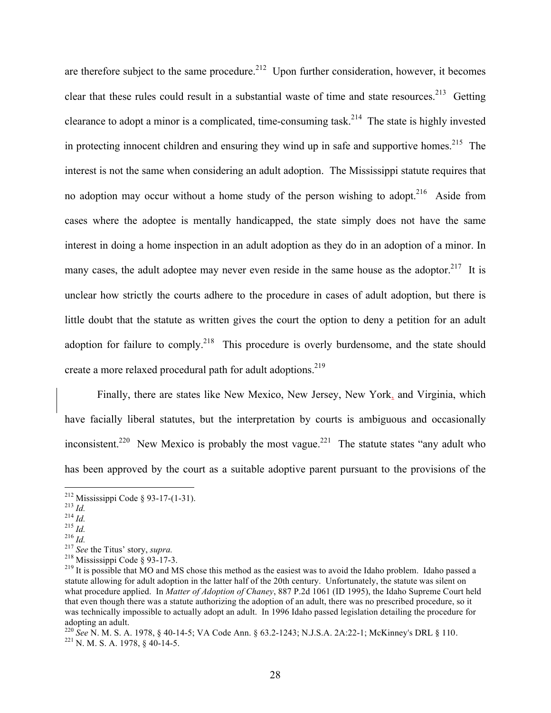are therefore subject to the same procedure.<sup>212</sup> Upon further consideration, however, it becomes clear that these rules could result in a substantial waste of time and state resources.<sup>213</sup> Getting clearance to adopt a minor is a complicated, time-consuming task.<sup>214</sup> The state is highly invested in protecting innocent children and ensuring they wind up in safe and supportive homes.<sup>215</sup> The interest is not the same when considering an adult adoption. The Mississippi statute requires that no adoption may occur without a home study of the person wishing to adopt.<sup>216</sup> Aside from cases where the adoptee is mentally handicapped, the state simply does not have the same interest in doing a home inspection in an adult adoption as they do in an adoption of a minor. In many cases, the adult adoptee may never even reside in the same house as the adoptor.<sup>217</sup> It is unclear how strictly the courts adhere to the procedure in cases of adult adoption, but there is little doubt that the statute as written gives the court the option to deny a petition for an adult adoption for failure to comply.<sup>218</sup> This procedure is overly burdensome, and the state should create a more relaxed procedural path for adult adoptions.<sup>219</sup>

Finally, there are states like New Mexico, New Jersey, New York, and Virginia, which have facially liberal statutes, but the interpretation by courts is ambiguous and occasionally inconsistent.<sup>220</sup> New Mexico is probably the most vague.<sup>221</sup> The statute states "any adult who has been approved by the court as a suitable adoptive parent pursuant to the provisions of the

<sup>&</sup>lt;sup>212</sup> Mississippi Code § 93-17-(1-31).<br>
<sup>213</sup> *Id.*<br>
<sup>214</sup> *Id.*<br>
<sup>215</sup> *Id.*<br>
<sup>216</sup> *Id.*<br>
<sup>217</sup> See the Titus' story, *supra*.<br>
<sup>217</sup> See the Titus' story, *supra*.<br>
<sup>218</sup> Mississippi Code § 93-17-3.<br>
<sup>218</sup> Mississippi statute allowing for adult adoption in the latter half of the 20th century. Unfortunately, the statute was silent on what procedure applied. In *Matter of Adoption of Chaney*, 887 P.2d 1061 (ID 1995), the Idaho Supreme Court held that even though there was a statute authorizing the adoption of an adult, there was no prescribed procedure, so it was technically impossible to actually adopt an adult. In 1996 Idaho passed legislation detailing the procedure for adopting an adult.

<sup>&</sup>lt;sup>220</sup> *See* N. M. S. A. 1978, § 40-14-5; VA Code Ann. § 63.2-1243; N.J.S.A. 2A:22-1; McKinney's DRL § 110. <sup>221</sup> N. M. S. A. 1978, § 40-14-5.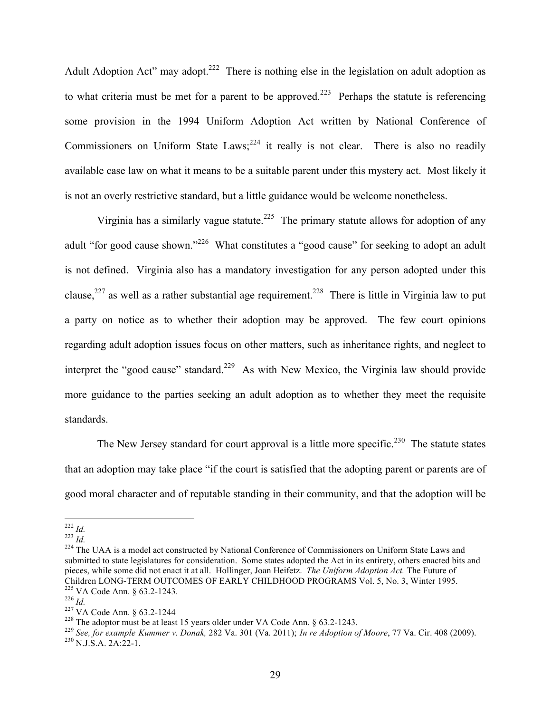Adult Adoption Act" may adopt.<sup>222</sup> There is nothing else in the legislation on adult adoption as to what criteria must be met for a parent to be approved.<sup>223</sup> Perhaps the statute is referencing some provision in the 1994 Uniform Adoption Act written by National Conference of Commissioners on Uniform State Laws;  $2^{24}$  it really is not clear. There is also no readily available case law on what it means to be a suitable parent under this mystery act. Most likely it is not an overly restrictive standard, but a little guidance would be welcome nonetheless.

Virginia has a similarly vague statute.<sup>225</sup> The primary statute allows for adoption of any adult "for good cause shown."<sup>226</sup> What constitutes a "good cause" for seeking to adopt an adult is not defined. Virginia also has a mandatory investigation for any person adopted under this clause,<sup>227</sup> as well as a rather substantial age requirement.<sup>228</sup> There is little in Virginia law to put a party on notice as to whether their adoption may be approved. The few court opinions regarding adult adoption issues focus on other matters, such as inheritance rights, and neglect to interpret the "good cause" standard.<sup>229</sup> As with New Mexico, the Virginia law should provide more guidance to the parties seeking an adult adoption as to whether they meet the requisite standards.

The New Jersey standard for court approval is a little more specific.<sup>230</sup> The statute states that an adoption may take place "if the court is satisfied that the adopting parent or parents are of good moral character and of reputable standing in their community, and that the adoption will be

<sup>&</sup>lt;sup>222</sup> *Id.*<br><sup>223</sup> *Id.* 224 The UAA is a model act constructed by National Conference of Commissioners on Uniform State Laws and submitted to state legislatures for consideration. Some states adopted the Act in its entirety, others enacted bits and pieces, while some did not enact it at all. Hollinger, Joan Heifetz. *The Uniform Adoption Act.* The Future of Children LONG-TERM OUTCOMES OF EARLY CHILDHOOD PROGRAMS Vol. 5, No. 3, Winter 1995.<br>
<sup>225</sup> VA Code Ann. § 63.2-1243.<br>
<sup>226</sup> Id.<br>
<sup>227</sup> VA Code Ann. § 63.2-1244<br>
<sup>227</sup> VA Code Ann. § 63.2-1244<br>
<sup>228</sup> The adoptor must be at

<sup>229</sup> *See, for example Kummer v. Donak,* 282 Va. 301 (Va. 2011); *In re Adoption of Moore*, 77 Va. Cir. 408 (2009). 230 N.J.S.A. 2A:22-1.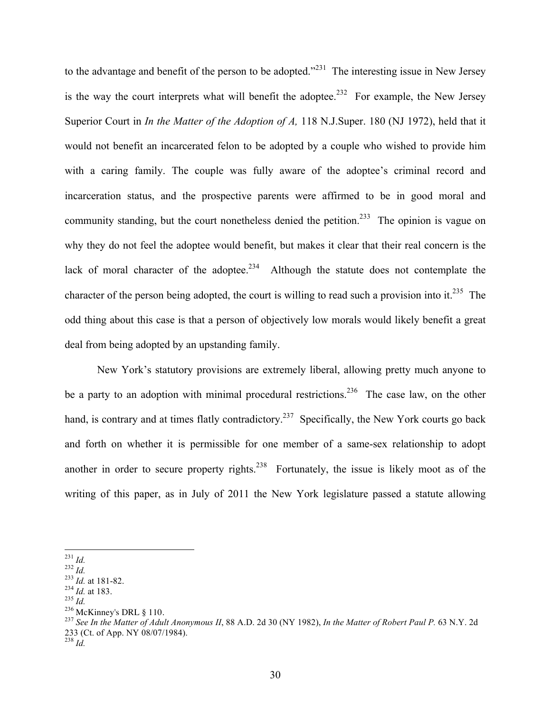to the advantage and benefit of the person to be adopted.<sup>2231</sup> The interesting issue in New Jersey is the way the court interprets what will benefit the adoptee.<sup>232</sup> For example, the New Jersey Superior Court in *In the Matter of the Adoption of A,* 118 N.J.Super. 180 (NJ 1972), held that it would not benefit an incarcerated felon to be adopted by a couple who wished to provide him with a caring family. The couple was fully aware of the adoptee's criminal record and incarceration status, and the prospective parents were affirmed to be in good moral and community standing, but the court nonetheless denied the petition.<sup>233</sup> The opinion is vague on why they do not feel the adoptee would benefit, but makes it clear that their real concern is the lack of moral character of the adoptee.<sup>234</sup> Although the statute does not contemplate the character of the person being adopted, the court is willing to read such a provision into it.<sup>235</sup> The odd thing about this case is that a person of objectively low morals would likely benefit a great deal from being adopted by an upstanding family.

New York's statutory provisions are extremely liberal, allowing pretty much anyone to be a party to an adoption with minimal procedural restrictions.<sup>236</sup> The case law, on the other hand, is contrary and at times flatly contradictory.<sup>237</sup> Specifically, the New York courts go back and forth on whether it is permissible for one member of a same-sex relationship to adopt another in order to secure property rights.<sup>238</sup> Fortunately, the issue is likely moot as of the writing of this paper, as in July of 2011 the New York legislature passed a statute allowing

<sup>238</sup> *Id.*

 <sup>231</sup> *Id.* 232 *Id.* 233 *Id.* at 181-82. 234 *Id.* at 183. 235 *Id.*

<sup>&</sup>lt;sup>237</sup> See In the Matter of Adult Anonymous II, 88 A.D. 2d 30 (NY 1982), In the Matter of Robert Paul P. 63 N.Y. 2d 233 (Ct. of App. NY 08/07/1984).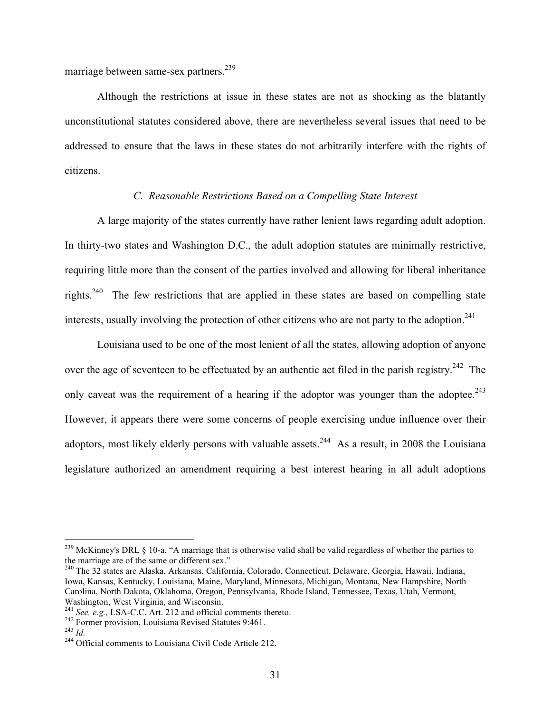marriage between same-sex partners.<sup>239</sup>

Although the restrictions at issue in these states are not as shocking as the blatantly unconstitutional statutes considered above, there are nevertheless several issues that need to be addressed to ensure that the laws in these states do not arbitrarily interfere with the rights of citizens.

### *C. Reasonable Restrictions Based on a Compelling State Interest*

A large majority of the states currently have rather lenient laws regarding adult adoption. In thirty-two states and Washington D.C., the adult adoption statutes are minimally restrictive, requiring little more than the consent of the parties involved and allowing for liberal inheritance rights.240 The few restrictions that are applied in these states are based on compelling state interests, usually involving the protection of other citizens who are not party to the adoption.<sup>241</sup>

Louisiana used to be one of the most lenient of all the states, allowing adoption of anyone over the age of seventeen to be effectuated by an authentic act filed in the parish registry.<sup>242</sup> The only caveat was the requirement of a hearing if the adoptor was younger than the adoptee.<sup>243</sup> However, it appears there were some concerns of people exercising undue influence over their adoptors, most likely elderly persons with valuable assets.<sup>244</sup> As a result, in 2008 the Louisiana legislature authorized an amendment requiring a best interest hearing in all adult adoptions

 $^{239}$  McKinney's DRL § 10-a, "A marriage that is otherwise valid shall be valid regardless of whether the parties to the marriage are of the same or different sex." 240 The 32 states are Alaska, Arkansas, California, Colorado, Connecticut, Delaware, Georgia, Hawaii, Indiana,

Iowa, Kansas, Kentucky, Louisiana, Maine, Maryland, Minnesota, Michigan, Montana, New Hampshire, North Carolina, North Dakota, Oklahoma, Oregon, Pennsylvania, Rhode Island, Tennessee, Texas, Utah, Vermont, Washington, West Virginia, and Wisconsin.<br><sup>241</sup> See, e.g., LSA-C.C. Art. 212 and official comments thereto.

<sup>&</sup>lt;sup>242</sup> Former provision, Louisiana Revised Statutes 9:461.<br><sup>243</sup> *Id.* <sup>244</sup> Official comments to Louisiana Civil Code Article 212.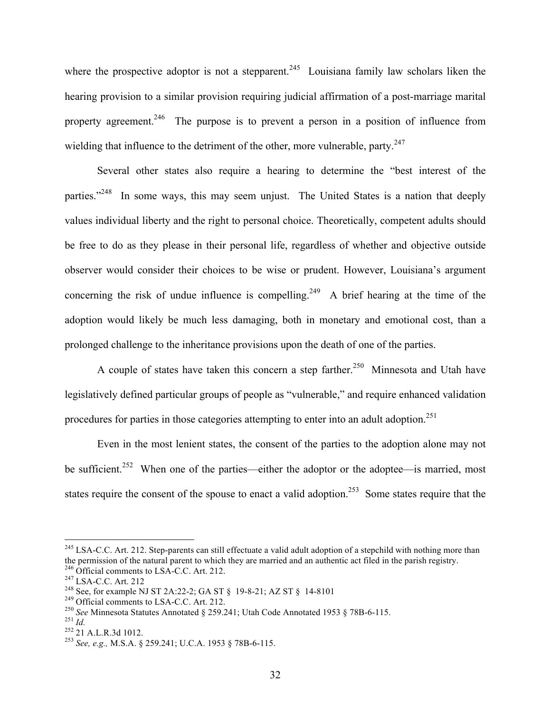where the prospective adoptor is not a stepparent.<sup>245</sup> Louisiana family law scholars liken the hearing provision to a similar provision requiring judicial affirmation of a post-marriage marital property agreement.<sup>246</sup> The purpose is to prevent a person in a position of influence from wielding that influence to the detriment of the other, more vulnerable, party.<sup>247</sup>

Several other states also require a hearing to determine the "best interest of the parties."<sup>248</sup> In some ways, this may seem unjust. The United States is a nation that deeply values individual liberty and the right to personal choice. Theoretically, competent adults should be free to do as they please in their personal life, regardless of whether and objective outside observer would consider their choices to be wise or prudent. However, Louisiana's argument concerning the risk of undue influence is compelling.<sup>249</sup> A brief hearing at the time of the adoption would likely be much less damaging, both in monetary and emotional cost, than a prolonged challenge to the inheritance provisions upon the death of one of the parties.

A couple of states have taken this concern a step farther.<sup>250</sup> Minnesota and Utah have legislatively defined particular groups of people as "vulnerable," and require enhanced validation procedures for parties in those categories attempting to enter into an adult adoption.<sup>251</sup>

Even in the most lenient states, the consent of the parties to the adoption alone may not be sufficient.<sup>252</sup> When one of the parties—either the adoptor or the adoptee—is married, most states require the consent of the spouse to enact a valid adoption.<sup>253</sup> Some states require that the

<sup>&</sup>lt;sup>245</sup> LSA-C.C. Art. 212. Step-parents can still effectuate a valid adult adoption of a stepchild with nothing more than the permission of the natural parent to which they are married and an authentic act filed in the parish registry.<br><sup>246</sup> Official comments to LSA-C.C. Art. 212.<br><sup>247</sup> LSA-C.C. Art. 212<br><sup>248</sup> See, for example NJ ST 2A:22-2;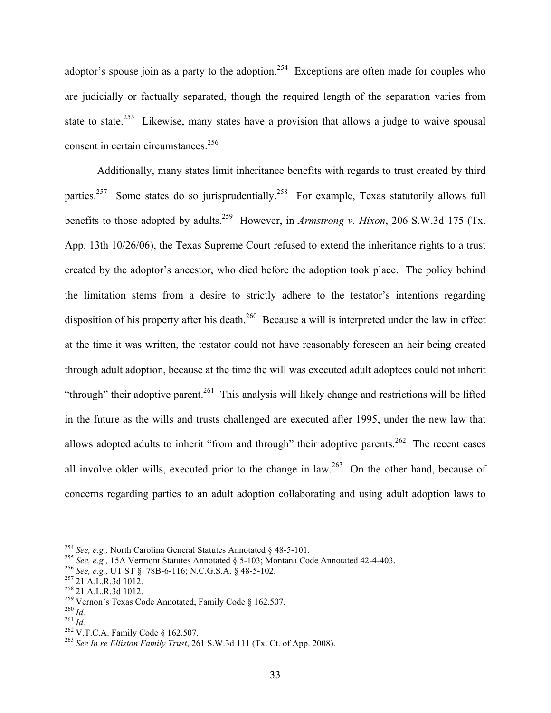adoptor's spouse join as a party to the adoption.<sup>254</sup> Exceptions are often made for couples who are judicially or factually separated, though the required length of the separation varies from state to state.<sup>255</sup> Likewise, many states have a provision that allows a judge to waive spousal consent in certain circumstances.<sup>256</sup>

Additionally, many states limit inheritance benefits with regards to trust created by third parties.<sup>257</sup> Some states do so jurisprudentially.<sup>258</sup> For example, Texas statutorily allows full benefits to those adopted by adults.<sup>259</sup> However, in *Armstrong v. Hixon*, 206 S.W.3d 175 (Tx. App. 13th 10/26/06), the Texas Supreme Court refused to extend the inheritance rights to a trust created by the adoptor's ancestor, who died before the adoption took place. The policy behind the limitation stems from a desire to strictly adhere to the testator's intentions regarding disposition of his property after his death.<sup>260</sup> Because a will is interpreted under the law in effect at the time it was written, the testator could not have reasonably foreseen an heir being created through adult adoption, because at the time the will was executed adult adoptees could not inherit "through" their adoptive parent.<sup>261</sup> This analysis will likely change and restrictions will be lifted in the future as the wills and trusts challenged are executed after 1995, under the new law that allows adopted adults to inherit "from and through" their adoptive parents.<sup>262</sup> The recent cases all involve older wills, executed prior to the change in law.<sup>263</sup> On the other hand, because of concerns regarding parties to an adult adoption collaborating and using adult adoption laws to

<sup>&</sup>lt;sup>254</sup> See, e.g., North Carolina General Statutes Annotated § 48-5-101.<br>
<sup>255</sup> See, e.g., 15A Vermont Statutes Annotated § 5-103; Montana Code Annotated 42-4-403.<br>
<sup>256</sup> See, e.g., UT ST § 78B-6-116; N.C.G.S.A. § 48-5-102.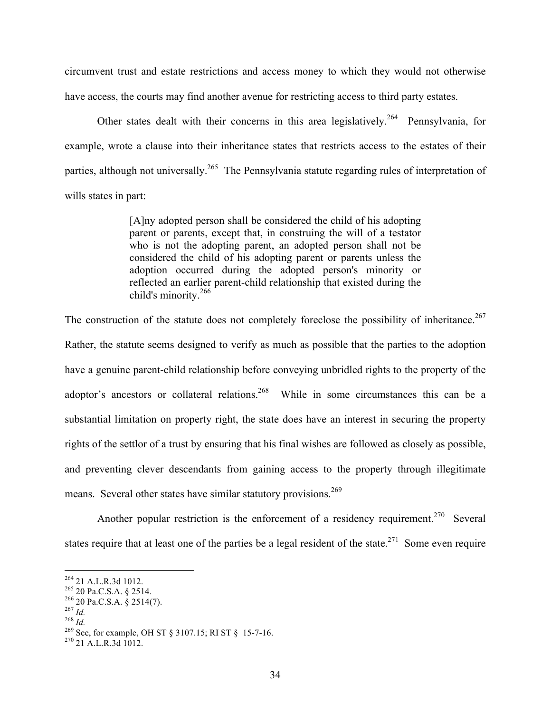circumvent trust and estate restrictions and access money to which they would not otherwise have access, the courts may find another avenue for restricting access to third party estates.

Other states dealt with their concerns in this area legislatively.<sup>264</sup> Pennsylvania, for example, wrote a clause into their inheritance states that restricts access to the estates of their parties, although not universally.<sup>265</sup> The Pennsylvania statute regarding rules of interpretation of wills states in part:

> [A]ny adopted person shall be considered the child of his adopting parent or parents, except that, in construing the will of a testator who is not the adopting parent, an adopted person shall not be considered the child of his adopting parent or parents unless the adoption occurred during the adopted person's minority or reflected an earlier parent-child relationship that existed during the child's minority.<sup>266</sup>

The construction of the statute does not completely foreclose the possibility of inheritance.<sup>267</sup> Rather, the statute seems designed to verify as much as possible that the parties to the adoption have a genuine parent-child relationship before conveying unbridled rights to the property of the adoptor's ancestors or collateral relations.<sup>268</sup> While in some circumstances this can be a substantial limitation on property right, the state does have an interest in securing the property rights of the settlor of a trust by ensuring that his final wishes are followed as closely as possible, and preventing clever descendants from gaining access to the property through illegitimate means. Several other states have similar statutory provisions.<sup>269</sup>

Another popular restriction is the enforcement of a residency requirement.<sup>270</sup> Several states require that at least one of the parties be a legal resident of the state.<sup>271</sup> Some even require

<sup>&</sup>lt;sup>264</sup> 21 A.L.R.3d 1012.<br>
<sup>265</sup> 20 Pa.C.S.A. § 2514.<br>
<sup>266</sup> 20 Pa.C.S.A. § 2514(7).<br>
<sup>267</sup> *Id.*<br>
<sup>268</sup> See, for example, OH ST § 3107.15; RI ST § 15-7-16.<br>
<sup>270</sup> 21 A.L.R.3d 1012.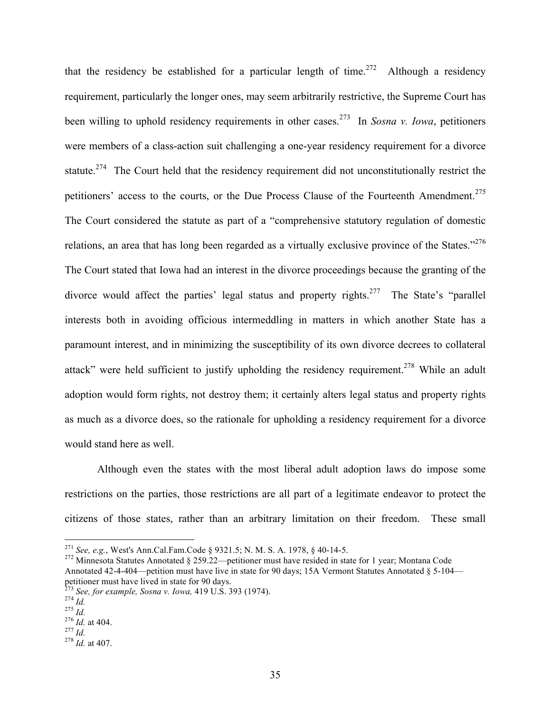that the residency be established for a particular length of time.<sup>272</sup> Although a residency requirement, particularly the longer ones, may seem arbitrarily restrictive, the Supreme Court has been willing to uphold residency requirements in other cases.273 In *Sosna v. Iowa*, petitioners were members of a class-action suit challenging a one-year residency requirement for a divorce statute.<sup>274</sup> The Court held that the residency requirement did not unconstitutionally restrict the petitioners' access to the courts, or the Due Process Clause of the Fourteenth Amendment.<sup>275</sup> The Court considered the statute as part of a "comprehensive statutory regulation of domestic relations, an area that has long been regarded as a virtually exclusive province of the States."<sup>276</sup> The Court stated that Iowa had an interest in the divorce proceedings because the granting of the divorce would affect the parties' legal status and property rights.<sup>277</sup> The State's "parallel" interests both in avoiding officious intermeddling in matters in which another State has a paramount interest, and in minimizing the susceptibility of its own divorce decrees to collateral attack" were held sufficient to justify upholding the residency requirement.<sup>278</sup> While an adult adoption would form rights, not destroy them; it certainly alters legal status and property rights as much as a divorce does, so the rationale for upholding a residency requirement for a divorce would stand here as well.

Although even the states with the most liberal adult adoption laws do impose some restrictions on the parties, those restrictions are all part of a legitimate endeavor to protect the citizens of those states, rather than an arbitrary limitation on their freedom. These small

<sup>&</sup>lt;sup>271</sup> *See, e.g.*, West's Ann.Cal.Fam.Code § 9321.5; N. M. S. A. 1978, § 40-14-5.<br><sup>272</sup> Minnesota Statutes Annotated § 259.22—petitioner must have resided in state for 1 year; Montana Code Annotated 42-4-404—petition must have live in state for 90 days; 15A Vermont Statutes Annotated § 5-104 petitioner must have lived in state for 90 days.<br>
<sup>273</sup> *See, for example, Sosna v. Iowa,* 419 U.S. 393 (1974).<br>
<sup>274</sup> *Id.*<br>
<sup>276</sup> *Id.* at 404.<br>
<sup>277</sup> *Id.* 278 *Id.* at 407.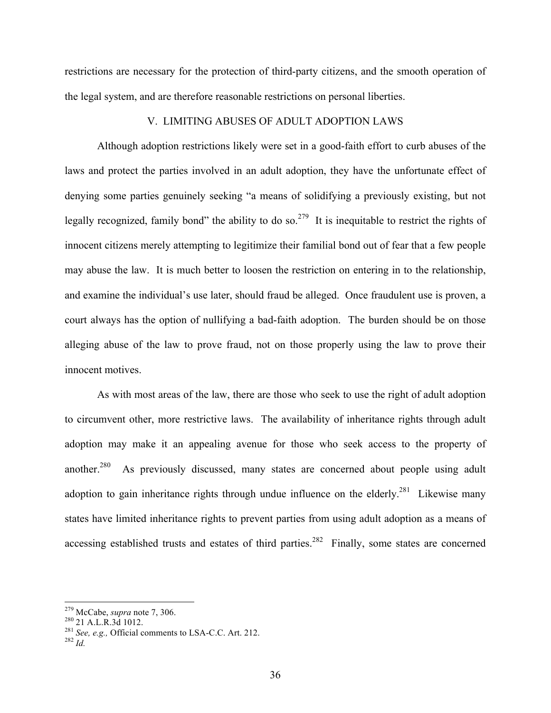restrictions are necessary for the protection of third-party citizens, and the smooth operation of the legal system, and are therefore reasonable restrictions on personal liberties.

## V. LIMITING ABUSES OF ADULT ADOPTION LAWS

Although adoption restrictions likely were set in a good-faith effort to curb abuses of the laws and protect the parties involved in an adult adoption, they have the unfortunate effect of denying some parties genuinely seeking "a means of solidifying a previously existing, but not legally recognized, family bond" the ability to do so.<sup>279</sup> It is inequitable to restrict the rights of innocent citizens merely attempting to legitimize their familial bond out of fear that a few people may abuse the law. It is much better to loosen the restriction on entering in to the relationship, and examine the individual's use later, should fraud be alleged. Once fraudulent use is proven, a court always has the option of nullifying a bad-faith adoption. The burden should be on those alleging abuse of the law to prove fraud, not on those properly using the law to prove their innocent motives.

As with most areas of the law, there are those who seek to use the right of adult adoption to circumvent other, more restrictive laws. The availability of inheritance rights through adult adoption may make it an appealing avenue for those who seek access to the property of another.<sup>280</sup> As previously discussed, many states are concerned about people using adult adoption to gain inheritance rights through undue influence on the elderly.<sup>281</sup> Likewise many states have limited inheritance rights to prevent parties from using adult adoption as a means of accessing established trusts and estates of third parties.<sup>282</sup> Finally, some states are concerned

<sup>&</sup>lt;sup>279</sup> McCabe, *supra* note 7, 306.<br><sup>280</sup> 21 A.L.R.3d 1012.<br><sup>281</sup> *See, e.g.,* Official comments to LSA-C.C. Art. 212.<br><sup>282</sup> *Id*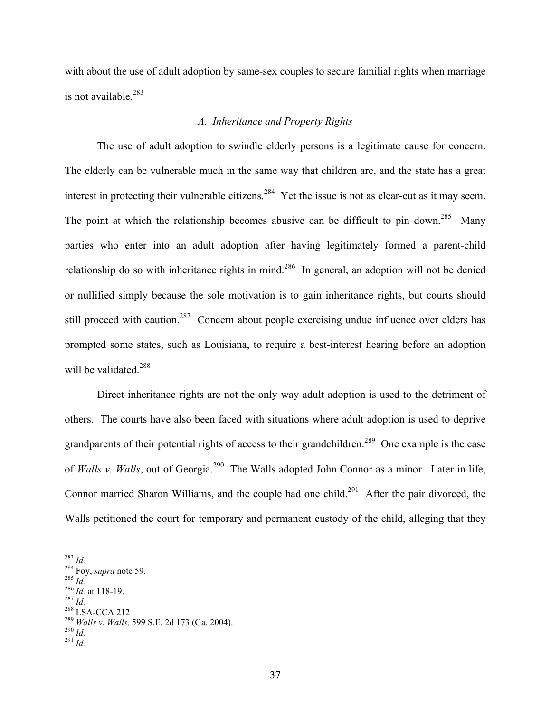with about the use of adult adoption by same-sex couples to secure familial rights when marriage is not available.<sup>283</sup>

# *A. Inheritance and Property Rights*

The use of adult adoption to swindle elderly persons is a legitimate cause for concern. The elderly can be vulnerable much in the same way that children are, and the state has a great interest in protecting their vulnerable citizens.<sup>284</sup> Yet the issue is not as clear-cut as it may seem. The point at which the relationship becomes abusive can be difficult to pin down.<sup>285</sup> Many parties who enter into an adult adoption after having legitimately formed a parent-child relationship do so with inheritance rights in mind.<sup>286</sup> In general, an adoption will not be denied or nullified simply because the sole motivation is to gain inheritance rights, but courts should still proceed with caution.<sup>287</sup> Concern about people exercising undue influence over elders has prompted some states, such as Louisiana, to require a best-interest hearing before an adoption will be validated.<sup>288</sup>

Direct inheritance rights are not the only way adult adoption is used to the detriment of others. The courts have also been faced with situations where adult adoption is used to deprive grandparents of their potential rights of access to their grandchildren.<sup>289</sup> One example is the case of *Walls v. Walls*, out of Georgia.<sup>290</sup> The Walls adopted John Connor as a minor. Later in life, Connor married Sharon Williams, and the couple had one child.<sup>291</sup> After the pair divorced, the Walls petitioned the court for temporary and permanent custody of the child, alleging that they

- 
- 
- 

<sup>&</sup>lt;sup>283</sup> *Id.*<br><sup>284</sup> Foy, *supra* note 59.<br><sup>285</sup> *Id.*<br><sup>286</sup> *Id.* at 118-19.<br><sup>287</sup> *Id.* <sup>288</sup> LSA-CCA 212<br><sup>289</sup> *Walls v. Walls*, 599 S.E. 2d 173 (Ga. 2004).<br><sup>290</sup> *Id.* <sup>291</sup> *Id*.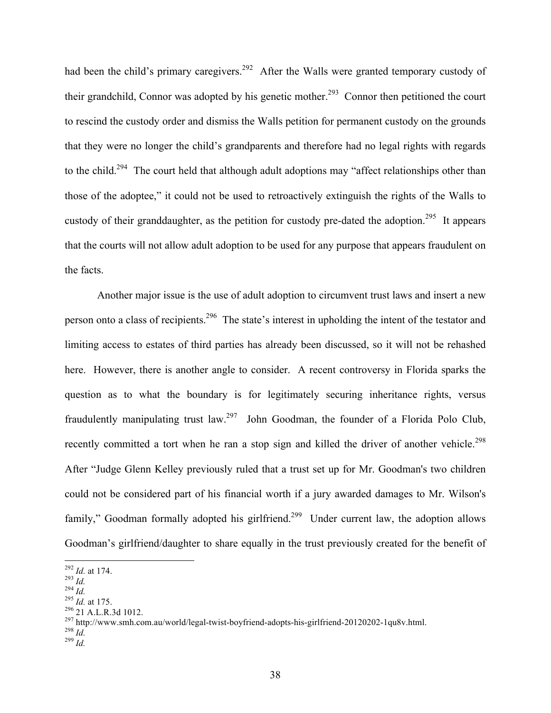had been the child's primary caregivers.<sup>292</sup> After the Walls were granted temporary custody of their grandchild, Connor was adopted by his genetic mother.<sup>293</sup> Connor then petitioned the court to rescind the custody order and dismiss the Walls petition for permanent custody on the grounds that they were no longer the child's grandparents and therefore had no legal rights with regards to the child.<sup>294</sup> The court held that although adult adoptions may "affect relationships other than those of the adoptee," it could not be used to retroactively extinguish the rights of the Walls to custody of their granddaughter, as the petition for custody pre-dated the adoption.<sup>295</sup> It appears that the courts will not allow adult adoption to be used for any purpose that appears fraudulent on the facts.

Another major issue is the use of adult adoption to circumvent trust laws and insert a new person onto a class of recipients.<sup>296</sup> The state's interest in upholding the intent of the testator and limiting access to estates of third parties has already been discussed, so it will not be rehashed here. However, there is another angle to consider. A recent controversy in Florida sparks the question as to what the boundary is for legitimately securing inheritance rights, versus fraudulently manipulating trust law.<sup>297</sup> John Goodman, the founder of a Florida Polo Club, recently committed a tort when he ran a stop sign and killed the driver of another vehicle.<sup>298</sup> After "Judge Glenn Kelley previously ruled that a trust set up for Mr. Goodman's two children could not be considered part of his financial worth if a jury awarded damages to Mr. Wilson's family," Goodman formally adopted his girlfriend.<sup>299</sup> Under current law, the adoption allows Goodman's girlfriend/daughter to share equally in the trust previously created for the benefit of

<sup>&</sup>lt;sup>292</sup> *Id.* at 174.<br>
<sup>293</sup> *Id.*<br>
<sup>294</sup> *Id.* at 175.<br>
<sup>296</sup> 21 A.L.R.3d 1012.<br>
<sup>297</sup> http://www.smh.com.au/world/legal-twist-boyfriend-adopts-his-girlfriend-20120202-1qu8v.html.<br>
<sup>298</sup> *Id.*<br>
<sup>299</sup> *Id.* <sup>299</sup> *Id*.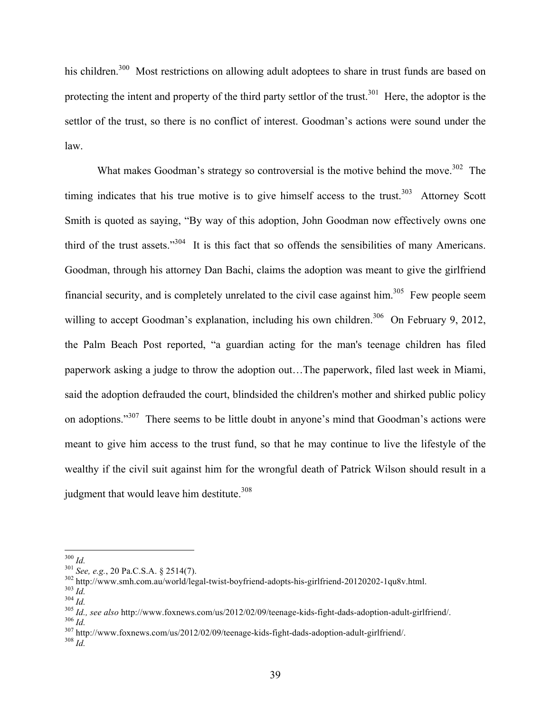his children.<sup>300</sup> Most restrictions on allowing adult adoptees to share in trust funds are based on protecting the intent and property of the third party settlor of the trust.<sup>301</sup> Here, the adoptor is the settlor of the trust, so there is no conflict of interest. Goodman's actions were sound under the law.

What makes Goodman's strategy so controversial is the motive behind the move.<sup>302</sup> The timing indicates that his true motive is to give himself access to the trust. $303$  Attorney Scott Smith is quoted as saying, "By way of this adoption, John Goodman now effectively owns one third of the trust assets."304 It is this fact that so offends the sensibilities of many Americans. Goodman, through his attorney Dan Bachi, claims the adoption was meant to give the girlfriend financial security, and is completely unrelated to the civil case against  $\lim_{n \to \infty} 305$  Few people seem willing to accept Goodman's explanation, including his own children.<sup>306</sup> On February 9, 2012, the Palm Beach Post reported, "a guardian acting for the man's teenage children has filed paperwork asking a judge to throw the adoption out…The paperwork, filed last week in Miami, said the adoption defrauded the court, blindsided the children's mother and shirked public policy on adoptions."<sup>307</sup> There seems to be little doubt in anyone's mind that Goodman's actions were meant to give him access to the trust fund, so that he may continue to live the lifestyle of the wealthy if the civil suit against him for the wrongful death of Patrick Wilson should result in a judgment that would leave him destitute.<sup>308</sup>

<sup>&</sup>lt;sup>300</sup> *Id.*<br>
<sup>301</sup> *See, e.g.*, 20 Pa.C.S.A. § 2514(7).<br>
<sup>302</sup> http://www.smh.com.au/world/legal-twist-boyfriend-adopts-his-girlfriend-20120202-1qu8v.html.<br>
<sup>303</sup> *Id.*<br>
<sup>303</sup> *Id., see also* http://www.foxnews.com/us/201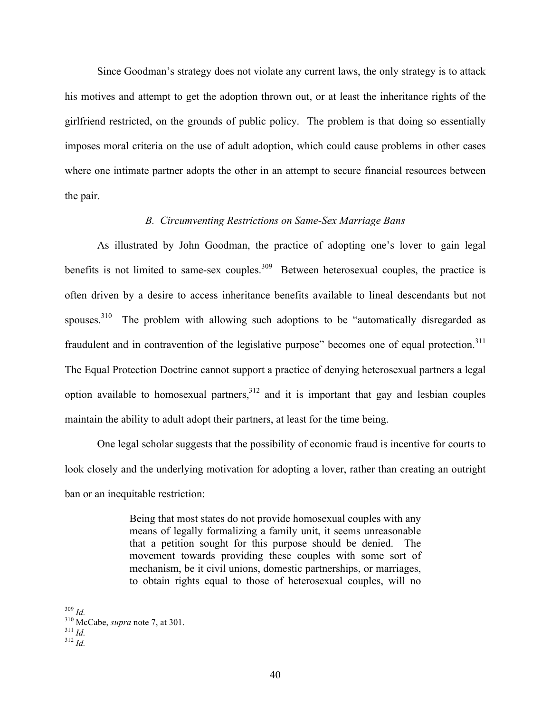Since Goodman's strategy does not violate any current laws, the only strategy is to attack his motives and attempt to get the adoption thrown out, or at least the inheritance rights of the girlfriend restricted, on the grounds of public policy. The problem is that doing so essentially imposes moral criteria on the use of adult adoption, which could cause problems in other cases where one intimate partner adopts the other in an attempt to secure financial resources between the pair.

## *B. Circumventing Restrictions on Same-Sex Marriage Bans*

As illustrated by John Goodman, the practice of adopting one's lover to gain legal benefits is not limited to same-sex couples. $309$  Between heterosexual couples, the practice is often driven by a desire to access inheritance benefits available to lineal descendants but not spouses.<sup>310</sup> The problem with allowing such adoptions to be "automatically disregarded as fraudulent and in contravention of the legislative purpose" becomes one of equal protection.<sup>311</sup> The Equal Protection Doctrine cannot support a practice of denying heterosexual partners a legal option available to homosexual partners,  $3^{12}$  and it is important that gay and lesbian couples maintain the ability to adult adopt their partners, at least for the time being.

One legal scholar suggests that the possibility of economic fraud is incentive for courts to look closely and the underlying motivation for adopting a lover, rather than creating an outright ban or an inequitable restriction:

> Being that most states do not provide homosexual couples with any means of legally formalizing a family unit, it seems unreasonable that a petition sought for this purpose should be denied. The movement towards providing these couples with some sort of mechanism, be it civil unions, domestic partnerships, or marriages, to obtain rights equal to those of heterosexual couples, will no

<sup>309</sup> *Id.* 310 McCabe, *supra* note 7, at 301. <sup>311</sup> *Id.* <sup>312</sup> *Id.*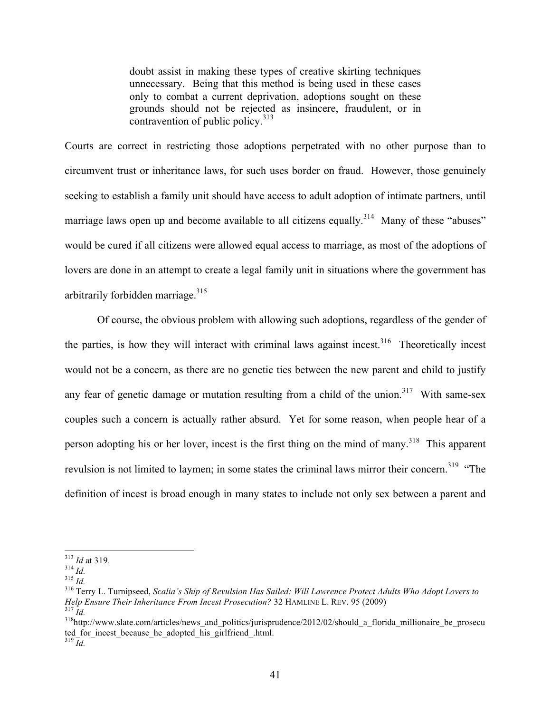doubt assist in making these types of creative skirting techniques unnecessary. Being that this method is being used in these cases only to combat a current deprivation, adoptions sought on these grounds should not be rejected as insincere, fraudulent, or in contravention of public policy.<sup>313</sup>

Courts are correct in restricting those adoptions perpetrated with no other purpose than to circumvent trust or inheritance laws, for such uses border on fraud. However, those genuinely seeking to establish a family unit should have access to adult adoption of intimate partners, until marriage laws open up and become available to all citizens equally.<sup>314</sup> Many of these "abuses" would be cured if all citizens were allowed equal access to marriage, as most of the adoptions of lovers are done in an attempt to create a legal family unit in situations where the government has arbitrarily forbidden marriage. $315$ 

Of course, the obvious problem with allowing such adoptions, regardless of the gender of the parties, is how they will interact with criminal laws against incest.<sup>316</sup> Theoretically incest would not be a concern, as there are no genetic ties between the new parent and child to justify any fear of genetic damage or mutation resulting from a child of the union.<sup>317</sup> With same-sex couples such a concern is actually rather absurd. Yet for some reason, when people hear of a person adopting his or her lover, incest is the first thing on the mind of many.<sup>318</sup> This apparent revulsion is not limited to laymen; in some states the criminal laws mirror their concern.<sup>319</sup> "The definition of incest is broad enough in many states to include not only sex between a parent and

<sup>313</sup> *Id* at 319. <sup>314</sup> *Id.* <sup>315</sup> *Id.* 316 Terry L. Turnipseed, *Scalia's Ship of Revulsion Has Sailed: Will Lawrence Protect Adults Who Adopt Lovers to Help Ensure Their Inheritance From Incest Prosecution?* 32 HAMLINE L. REV. 95 (2009)<br><sup>317</sup>*Id.*<br><sup>318</sup>http://www.slate.com/articles/news\_and\_politics/jurisprudence/2012/02/should\_a\_florida\_millionaire\_be\_prosecu

ted\_for\_incest\_because\_he\_adopted\_his\_girlfriend\_.html. <sup>319</sup> *Id.*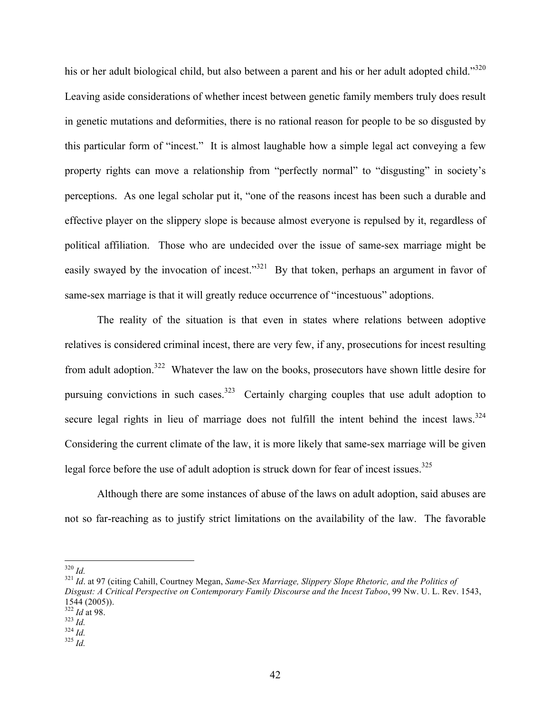his or her adult biological child, but also between a parent and his or her adult adopted child."<sup>320</sup> Leaving aside considerations of whether incest between genetic family members truly does result in genetic mutations and deformities, there is no rational reason for people to be so disgusted by this particular form of "incest." It is almost laughable how a simple legal act conveying a few property rights can move a relationship from "perfectly normal" to "disgusting" in society's perceptions. As one legal scholar put it, "one of the reasons incest has been such a durable and effective player on the slippery slope is because almost everyone is repulsed by it, regardless of political affiliation. Those who are undecided over the issue of same-sex marriage might be easily swayed by the invocation of incest."<sup>321</sup> By that token, perhaps an argument in favor of same-sex marriage is that it will greatly reduce occurrence of "incestuous" adoptions.

The reality of the situation is that even in states where relations between adoptive relatives is considered criminal incest, there are very few, if any, prosecutions for incest resulting from adult adoption.322 Whatever the law on the books, prosecutors have shown little desire for pursuing convictions in such cases.<sup>323</sup> Certainly charging couples that use adult adoption to secure legal rights in lieu of marriage does not fulfill the intent behind the incest laws.<sup>324</sup> Considering the current climate of the law, it is more likely that same-sex marriage will be given legal force before the use of adult adoption is struck down for fear of incest issues.<sup>325</sup>

Although there are some instances of abuse of the laws on adult adoption, said abuses are not so far-reaching as to justify strict limitations on the availability of the law. The favorable

<sup>&</sup>lt;sup>320</sup> *Id.*<br><sup>321</sup> *Id.* at 97 (citing Cahill, Courtney Megan, *Same-Sex Marriage, Slippery Slope Rhetoric, and the Politics of Disgust: A Critical Perspective on Contemporary Family Discourse and the Incest Taboo*, 99 Nw. U. L. Rev. 1543, 1544 (2005)). 322 *Id* at 98. 323 *Id.* 324 *Id.* 325 *Id.*